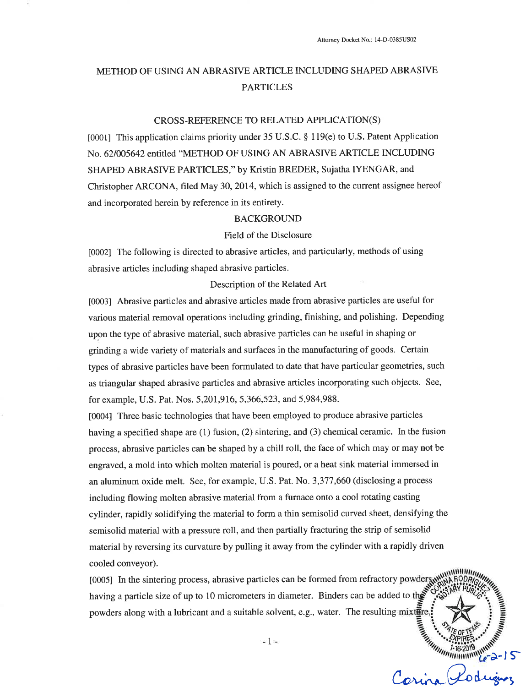## METHOD OF USING AN ABRASIVE ARTICLE INCLUDING SHAPED ABRASIVE **PARTICLES**

#### CROSS-REFERENCE TO RELATED APPLICATION(S)

[0001] This application claims priority under 35 U.S.C. § 119(e) to U.S. Patent Application No. 62/005642 entitled "METHOD OF USING AN ABRASIVE ARTICLE INCLUDING SHAPED ABRASIVE PARTICLES," by Kristin BREDER, Sujatha IYENGAR, and Christopher ARCONA, filed May 30, 2014, which is assigned to the current assignee hereof and incorporated herein by reference in its entirety.

#### **BACKGROUND**

#### Field of the Disclosure

[0002] The following is directed to abrasive articles, and particularly, methods of using abrasive articles including shaped abrasive particles.

#### Description of the Related Art

[0003] Abrasive particles and abrasive articles made from abrasive particles are useful for various material removal operations including grinding, finishing, and polishing. Depending upon the type of abrasive material, such abrasive particles can be useful in shaping or grinding a wide variety of materials and surfaces in the manufacturing of goods. Certain types of abrasive particles have been formulated to date that have particular geometries, such as triangular shaped abrasive particles and abrasive articles incorporating such objects. See, for example, U.S. Pat. Nos. 5, 201, 916, 5, 366, 523, and 5, 984, 988.

[0004] Three basic technologies that have been employed to produce abrasive particles having a specified shape are (1) fusion, (2) sintering, and (3) chemical ceramic. In the fusion process, abrasive particles can be shaped by a chill roll, the face of which may or may not be engraved, a mold into which molten material is poured, or a heat sink material immersed in an aluminum oxide melt. See, for example, U.S. Pat. No. 3,377,660 (disclosing a process including flowing molten abrasive material from a furnace onto a cool rotating casting cylinder, rapidly solidifying the material to form a thin semisolid curved sheet, densifying the semisolid material with a pressure roll, and then partially fracturing the strip of semisolid material by reversing its curvature by pulling it away from the cylinder with a rapidly driven cooled conveyor).

<u>линния,</u> [0005] In the sintering process, abrasive particles can be formed from refractory powders having a particle size of up to 10 micrometers in diameter. Binders can be added to the powders along with a lubricant and a suitable solvent, e.g., water. The resulting mixture **CONTRACT STRATEGIES**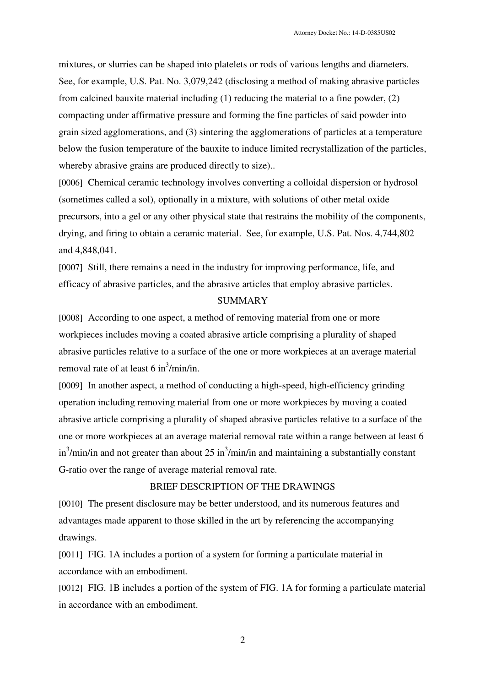mixtures, or slurries can be shaped into platelets or rods of various lengths and diameters. See, for example, U.S. Pat. No. 3,079,242 (disclosing a method of making abrasive particles from calcined bauxite material including (1) reducing the material to a fine powder, (2) compacting under affirmative pressure and forming the fine particles of said powder into grain sized agglomerations, and (3) sintering the agglomerations of particles at a temperature below the fusion temperature of the bauxite to induce limited recrystallization of the particles, whereby abrasive grains are produced directly to size)...

[0006] Chemical ceramic technology involves converting a colloidal dispersion or hydrosol (sometimes called a sol), optionally in a mixture, with solutions of other metal oxide precursors, into a gel or any other physical state that restrains the mobility of the components, drying, and firing to obtain a ceramic material. See, for example, U.S. Pat. Nos. 4,744,802 and 4,848,041.

[0007] Still, there remains a need in the industry for improving performance, life, and efficacy of abrasive particles, and the abrasive articles that employ abrasive particles.

## **SUMMARY**

[0008] According to one aspect, a method of removing material from one or more workpieces includes moving a coated abrasive article comprising a plurality of shaped abrasive particles relative to a surface of the one or more workpieces at an average material removal rate of at least 6 in<sup>3</sup>/min/in.

[0009] In another aspect, a method of conducting a high-speed, high-efficiency grinding operation including removing material from one or more workpieces by moving a coated abrasive article comprising a plurality of shaped abrasive particles relative to a surface of the one or more workpieces at an average material removal rate within a range between at least 6 in<sup>3</sup>/min/in and not greater than about 25 in<sup>3</sup>/min/in and maintaining a substantially constant G-ratio over the range of average material removal rate.

## BRIEF DESCRIPTION OF THE DRAWINGS

[0010] The present disclosure may be better understood, and its numerous features and advantages made apparent to those skilled in the art by referencing the accompanying drawings.

[0011] FIG. 1A includes a portion of a system for forming a particulate material in accordance with an embodiment.

[0012] FIG. 1B includes a portion of the system of FIG. 1A for forming a particulate material in accordance with an embodiment.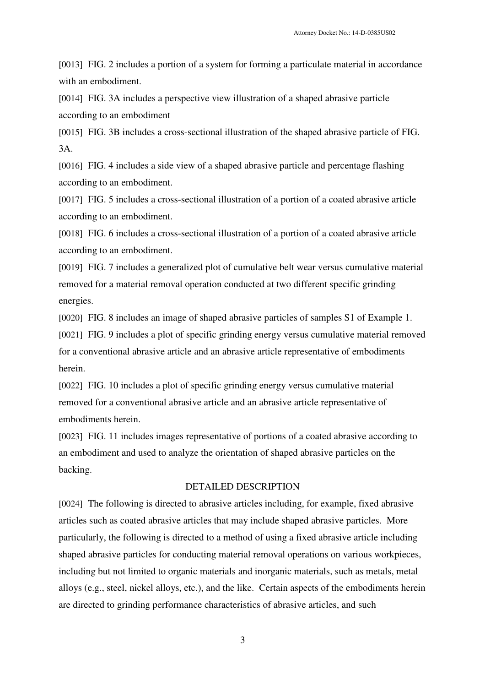[0013] FIG. 2 includes a portion of a system for forming a particulate material in accordance with an embodiment.

[0014] FIG. 3A includes a perspective view illustration of a shaped abrasive particle according to an embodiment

[0015] FIG. 3B includes a cross-sectional illustration of the shaped abrasive particle of FIG. 3A.

[0016] FIG. 4 includes a side view of a shaped abrasive particle and percentage flashing according to an embodiment.

[0017] FIG. 5 includes a cross-sectional illustration of a portion of a coated abrasive article according to an embodiment.

[0018] FIG. 6 includes a cross-sectional illustration of a portion of a coated abrasive article according to an embodiment.

[0019] FIG. 7 includes a generalized plot of cumulative belt wear versus cumulative material removed for a material removal operation conducted at two different specific grinding energies.

[0020] FIG. 8 includes an image of shaped abrasive particles of samples S1 of Example 1.

[0021] FIG. 9 includes a plot of specific grinding energy versus cumulative material removed for a conventional abrasive article and an abrasive article representative of embodiments herein.

[0022] FIG. 10 includes a plot of specific grinding energy versus cumulative material removed for a conventional abrasive article and an abrasive article representative of embodiments herein.

[0023] FIG. 11 includes images representative of portions of a coated abrasive according to an embodiment and used to analyze the orientation of shaped abrasive particles on the backing.

## DETAILED DESCRIPTION

[0024] The following is directed to abrasive articles including, for example, fixed abrasive articles such as coated abrasive articles that may include shaped abrasive particles. More particularly, the following is directed to a method of using a fixed abrasive article including shaped abrasive particles for conducting material removal operations on various workpieces, including but not limited to organic materials and inorganic materials, such as metals, metal alloys (e.g., steel, nickel alloys, etc.), and the like. Certain aspects of the embodiments herein are directed to grinding performance characteristics of abrasive articles, and such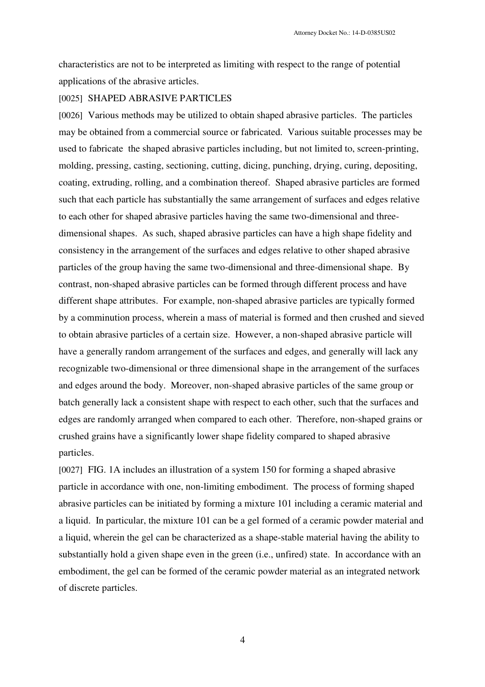characteristics are not to be interpreted as limiting with respect to the range of potential applications of the abrasive articles.

## [0025] SHAPED ABRASIVE PARTICLES

[0026] Various methods may be utilized to obtain shaped abrasive particles. The particles may be obtained from a commercial source or fabricated. Various suitable processes may be used to fabricate the shaped abrasive particles including, but not limited to, screen-printing, molding, pressing, casting, sectioning, cutting, dicing, punching, drying, curing, depositing, coating, extruding, rolling, and a combination thereof. Shaped abrasive particles are formed such that each particle has substantially the same arrangement of surfaces and edges relative to each other for shaped abrasive particles having the same two-dimensional and threedimensional shapes. As such, shaped abrasive particles can have a high shape fidelity and consistency in the arrangement of the surfaces and edges relative to other shaped abrasive particles of the group having the same two-dimensional and three-dimensional shape. By contrast, non-shaped abrasive particles can be formed through different process and have different shape attributes. For example, non-shaped abrasive particles are typically formed by a comminution process, wherein a mass of material is formed and then crushed and sieved to obtain abrasive particles of a certain size. However, a non-shaped abrasive particle will have a generally random arrangement of the surfaces and edges, and generally will lack any recognizable two-dimensional or three dimensional shape in the arrangement of the surfaces and edges around the body. Moreover, non-shaped abrasive particles of the same group or batch generally lack a consistent shape with respect to each other, such that the surfaces and edges are randomly arranged when compared to each other. Therefore, non-shaped grains or crushed grains have a significantly lower shape fidelity compared to shaped abrasive particles.

[0027] FIG. 1A includes an illustration of a system 150 for forming a shaped abrasive particle in accordance with one, non-limiting embodiment. The process of forming shaped abrasive particles can be initiated by forming a mixture 101 including a ceramic material and a liquid. In particular, the mixture 101 can be a gel formed of a ceramic powder material and a liquid, wherein the gel can be characterized as a shape-stable material having the ability to substantially hold a given shape even in the green (i.e., unfired) state. In accordance with an embodiment, the gel can be formed of the ceramic powder material as an integrated network of discrete particles.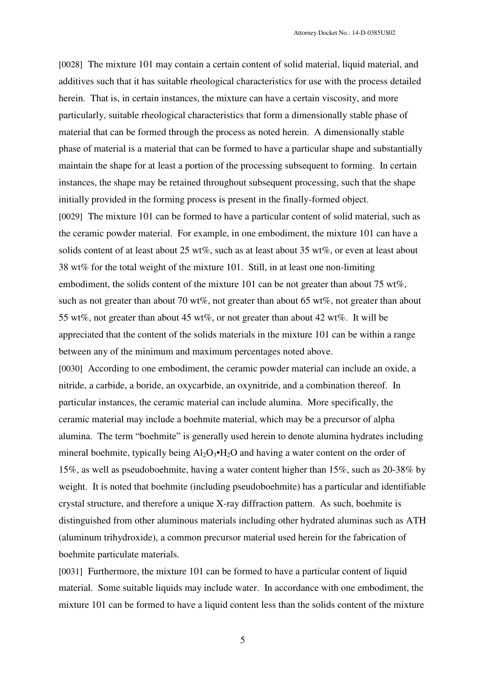[0028] The mixture 101 may contain a certain content of solid material, liquid material, and additives such that it has suitable rheological characteristics for use with the process detailed herein. That is, in certain instances, the mixture can have a certain viscosity, and more particularly, suitable rheological characteristics that form a dimensionally stable phase of material that can be formed through the process as noted herein. A dimensionally stable phase of material is a material that can be formed to have a particular shape and substantially maintain the shape for at least a portion of the processing subsequent to forming. In certain instances, the shape may be retained throughout subsequent processing, such that the shape initially provided in the forming process is present in the finally-formed object. [0029] The mixture 101 can be formed to have a particular content of solid material, such as the ceramic powder material. For example, in one embodiment, the mixture 101 can have a solids content of at least about 25 wt%, such as at least about 35 wt%, or even at least about 38 wt% for the total weight of the mixture 101. Still, in at least one non-limiting embodiment, the solids content of the mixture 101 can be not greater than about 75 wt%, such as not greater than about 70 wt%, not greater than about 65 wt%, not greater than about 55 wt%, not greater than about 45 wt%, or not greater than about 42 wt%. It will be appreciated that the content of the solids materials in the mixture 101 can be within a range between any of the minimum and maximum percentages noted above.

[0030] According to one embodiment, the ceramic powder material can include an oxide, a nitride, a carbide, a boride, an oxycarbide, an oxynitride, and a combination thereof. In particular instances, the ceramic material can include alumina. More specifically, the ceramic material may include a boehmite material, which may be a precursor of alpha alumina. The term "boehmite" is generally used herein to denote alumina hydrates including mineral boehmite, typically being  $Al_2O_3\bullet H_2O$  and having a water content on the order of 15%, as well as pseudoboehmite, having a water content higher than 15%, such as 20-38% by weight. It is noted that boehmite (including pseudoboehmite) has a particular and identifiable crystal structure, and therefore a unique X-ray diffraction pattern. As such, boehmite is distinguished from other aluminous materials including other hydrated aluminas such as ATH (aluminum trihydroxide), a common precursor material used herein for the fabrication of boehmite particulate materials.

[0031] Furthermore, the mixture 101 can be formed to have a particular content of liquid material. Some suitable liquids may include water. In accordance with one embodiment, the mixture 101 can be formed to have a liquid content less than the solids content of the mixture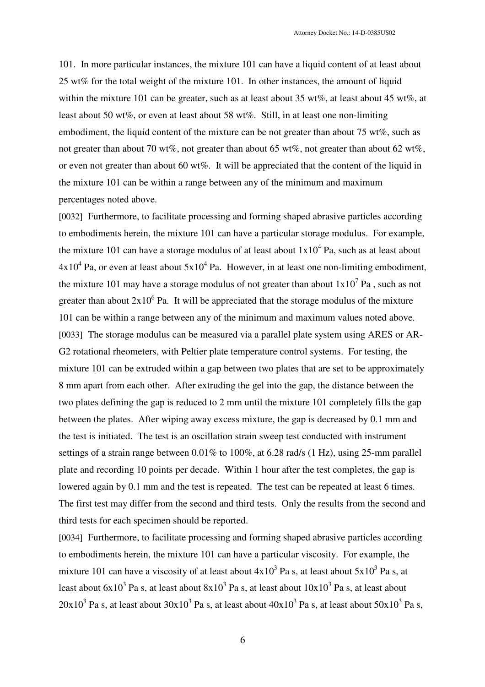101. In more particular instances, the mixture 101 can have a liquid content of at least about 25 wt% for the total weight of the mixture 101. In other instances, the amount of liquid within the mixture 101 can be greater, such as at least about 35 wt%, at least about 45 wt%, at least about 50 wt%, or even at least about 58 wt%. Still, in at least one non-limiting embodiment, the liquid content of the mixture can be not greater than about 75 wt%, such as not greater than about 70 wt%, not greater than about 65 wt%, not greater than about 62 wt%, or even not greater than about 60 wt%. It will be appreciated that the content of the liquid in the mixture 101 can be within a range between any of the minimum and maximum percentages noted above.

[0032] Furthermore, to facilitate processing and forming shaped abrasive particles according to embodiments herein, the mixture 101 can have a particular storage modulus. For example, the mixture 101 can have a storage modulus of at least about  $1x10^4$  Pa, such as at least about  $4x10^4$  Pa, or even at least about  $5x10^4$  Pa. However, in at least one non-limiting embodiment, the mixture 101 may have a storage modulus of not greater than about  $1x10^7$  Pa, such as not greater than about  $2x10^6$  Pa. It will be appreciated that the storage modulus of the mixture 101 can be within a range between any of the minimum and maximum values noted above. [0033] The storage modulus can be measured via a parallel plate system using ARES or AR-G2 rotational rheometers, with Peltier plate temperature control systems. For testing, the mixture 101 can be extruded within a gap between two plates that are set to be approximately 8 mm apart from each other. After extruding the gel into the gap, the distance between the two plates defining the gap is reduced to 2 mm until the mixture 101 completely fills the gap between the plates. After wiping away excess mixture, the gap is decreased by 0.1 mm and the test is initiated. The test is an oscillation strain sweep test conducted with instrument settings of a strain range between 0.01% to 100%, at 6.28 rad/s (1 Hz), using 25-mm parallel plate and recording 10 points per decade. Within 1 hour after the test completes, the gap is lowered again by 0.1 mm and the test is repeated. The test can be repeated at least 6 times. The first test may differ from the second and third tests. Only the results from the second and third tests for each specimen should be reported.

[0034] Furthermore, to facilitate processing and forming shaped abrasive particles according to embodiments herein, the mixture 101 can have a particular viscosity. For example, the mixture 101 can have a viscosity of at least about  $4x10^3$  Pa s, at least about  $5x10^3$  Pa s, at least about  $6x10^3$  Pa s, at least about  $8x10^3$  Pa s, at least about  $10x10^3$  Pa s, at least about  $20x10^3$  Pa s, at least about  $30x10^3$  Pa s, at least about  $40x10^3$  Pa s, at least about  $50x10^3$  Pa s,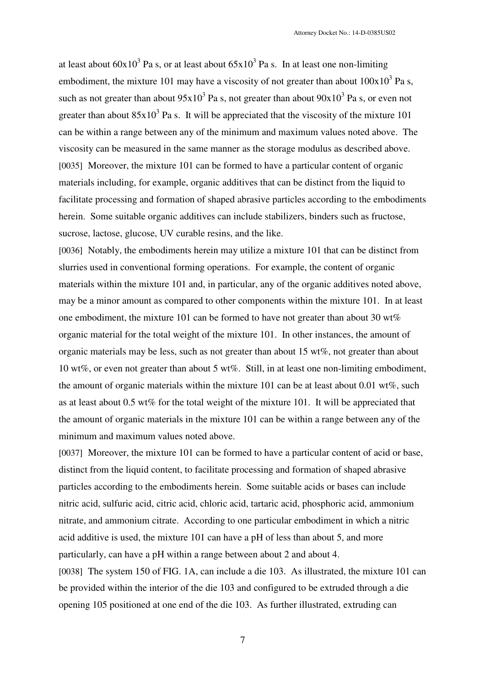at least about  $60x10^3$  Pa s, or at least about  $65x10^3$  Pa s. In at least one non-limiting embodiment, the mixture 101 may have a viscosity of not greater than about  $100x10<sup>3</sup>$  Pa s, such as not greater than about  $95x10^3$  Pa s, not greater than about  $90x10^3$  Pa s, or even not greater than about  $85x10^3$  Pa s. It will be appreciated that the viscosity of the mixture 101 can be within a range between any of the minimum and maximum values noted above. The viscosity can be measured in the same manner as the storage modulus as described above. [0035] Moreover, the mixture 101 can be formed to have a particular content of organic materials including, for example, organic additives that can be distinct from the liquid to facilitate processing and formation of shaped abrasive particles according to the embodiments herein. Some suitable organic additives can include stabilizers, binders such as fructose, sucrose, lactose, glucose, UV curable resins, and the like.

[0036] Notably, the embodiments herein may utilize a mixture 101 that can be distinct from slurries used in conventional forming operations. For example, the content of organic materials within the mixture 101 and, in particular, any of the organic additives noted above, may be a minor amount as compared to other components within the mixture 101. In at least one embodiment, the mixture 101 can be formed to have not greater than about 30 wt% organic material for the total weight of the mixture 101. In other instances, the amount of organic materials may be less, such as not greater than about 15 wt%, not greater than about 10 wt%, or even not greater than about 5 wt%. Still, in at least one non-limiting embodiment, the amount of organic materials within the mixture 101 can be at least about 0.01 wt%, such as at least about 0.5 wt% for the total weight of the mixture 101. It will be appreciated that the amount of organic materials in the mixture 101 can be within a range between any of the minimum and maximum values noted above.

[0037] Moreover, the mixture 101 can be formed to have a particular content of acid or base, distinct from the liquid content, to facilitate processing and formation of shaped abrasive particles according to the embodiments herein. Some suitable acids or bases can include nitric acid, sulfuric acid, citric acid, chloric acid, tartaric acid, phosphoric acid, ammonium nitrate, and ammonium citrate. According to one particular embodiment in which a nitric acid additive is used, the mixture 101 can have a pH of less than about 5, and more particularly, can have a pH within a range between about 2 and about 4.

[0038] The system 150 of FIG. 1A, can include a die 103. As illustrated, the mixture 101 can be provided within the interior of the die 103 and configured to be extruded through a die opening 105 positioned at one end of the die 103. As further illustrated, extruding can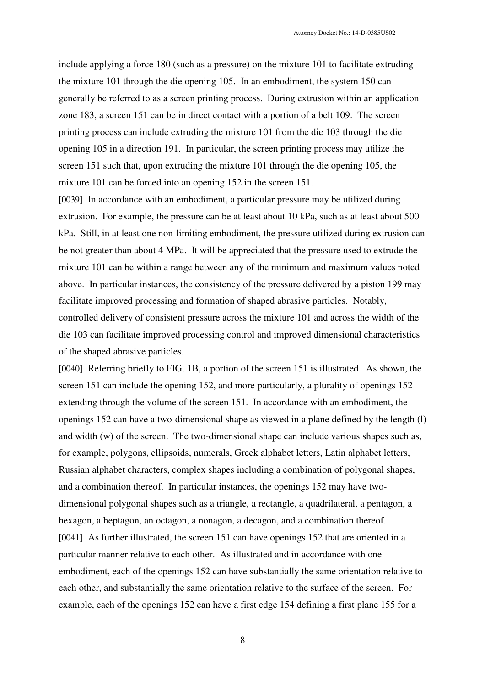include applying a force 180 (such as a pressure) on the mixture 101 to facilitate extruding the mixture 101 through the die opening 105. In an embodiment, the system 150 can generally be referred to as a screen printing process. During extrusion within an application zone 183, a screen 151 can be in direct contact with a portion of a belt 109. The screen printing process can include extruding the mixture 101 from the die 103 through the die opening 105 in a direction 191. In particular, the screen printing process may utilize the screen 151 such that, upon extruding the mixture 101 through the die opening 105, the mixture 101 can be forced into an opening 152 in the screen 151.

[0039] In accordance with an embodiment, a particular pressure may be utilized during extrusion. For example, the pressure can be at least about 10 kPa, such as at least about 500 kPa. Still, in at least one non-limiting embodiment, the pressure utilized during extrusion can be not greater than about 4 MPa. It will be appreciated that the pressure used to extrude the mixture 101 can be within a range between any of the minimum and maximum values noted above. In particular instances, the consistency of the pressure delivered by a piston 199 may facilitate improved processing and formation of shaped abrasive particles. Notably, controlled delivery of consistent pressure across the mixture 101 and across the width of the die 103 can facilitate improved processing control and improved dimensional characteristics of the shaped abrasive particles.

[0040] Referring briefly to FIG. 1B, a portion of the screen 151 is illustrated. As shown, the screen 151 can include the opening 152, and more particularly, a plurality of openings 152 extending through the volume of the screen 151. In accordance with an embodiment, the openings 152 can have a two-dimensional shape as viewed in a plane defined by the length (l) and width (w) of the screen. The two-dimensional shape can include various shapes such as, for example, polygons, ellipsoids, numerals, Greek alphabet letters, Latin alphabet letters, Russian alphabet characters, complex shapes including a combination of polygonal shapes, and a combination thereof. In particular instances, the openings 152 may have twodimensional polygonal shapes such as a triangle, a rectangle, a quadrilateral, a pentagon, a hexagon, a heptagon, an octagon, a nonagon, a decagon, and a combination thereof. [0041] As further illustrated, the screen 151 can have openings 152 that are oriented in a particular manner relative to each other. As illustrated and in accordance with one embodiment, each of the openings 152 can have substantially the same orientation relative to each other, and substantially the same orientation relative to the surface of the screen. For example, each of the openings 152 can have a first edge 154 defining a first plane 155 for a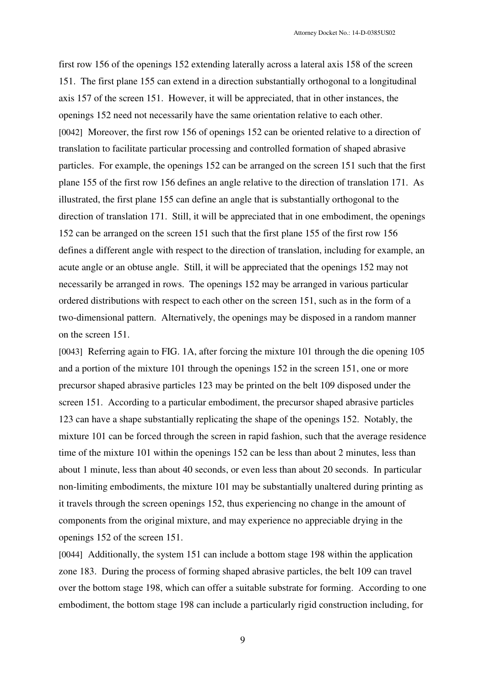first row 156 of the openings 152 extending laterally across a lateral axis 158 of the screen 151. The first plane 155 can extend in a direction substantially orthogonal to a longitudinal axis 157 of the screen 151. However, it will be appreciated, that in other instances, the openings 152 need not necessarily have the same orientation relative to each other. [0042] Moreover, the first row 156 of openings 152 can be oriented relative to a direction of translation to facilitate particular processing and controlled formation of shaped abrasive particles. For example, the openings 152 can be arranged on the screen 151 such that the first plane 155 of the first row 156 defines an angle relative to the direction of translation 171. As illustrated, the first plane 155 can define an angle that is substantially orthogonal to the direction of translation 171. Still, it will be appreciated that in one embodiment, the openings 152 can be arranged on the screen 151 such that the first plane 155 of the first row 156 defines a different angle with respect to the direction of translation, including for example, an acute angle or an obtuse angle. Still, it will be appreciated that the openings 152 may not necessarily be arranged in rows. The openings 152 may be arranged in various particular ordered distributions with respect to each other on the screen 151, such as in the form of a two-dimensional pattern. Alternatively, the openings may be disposed in a random manner on the screen 151.

[0043] Referring again to FIG. 1A, after forcing the mixture 101 through the die opening 105 and a portion of the mixture 101 through the openings 152 in the screen 151, one or more precursor shaped abrasive particles 123 may be printed on the belt 109 disposed under the screen 151. According to a particular embodiment, the precursor shaped abrasive particles 123 can have a shape substantially replicating the shape of the openings 152. Notably, the mixture 101 can be forced through the screen in rapid fashion, such that the average residence time of the mixture 101 within the openings 152 can be less than about 2 minutes, less than about 1 minute, less than about 40 seconds, or even less than about 20 seconds. In particular non-limiting embodiments, the mixture 101 may be substantially unaltered during printing as it travels through the screen openings 152, thus experiencing no change in the amount of components from the original mixture, and may experience no appreciable drying in the openings 152 of the screen 151.

[0044] Additionally, the system 151 can include a bottom stage 198 within the application zone 183. During the process of forming shaped abrasive particles, the belt 109 can travel over the bottom stage 198, which can offer a suitable substrate for forming. According to one embodiment, the bottom stage 198 can include a particularly rigid construction including, for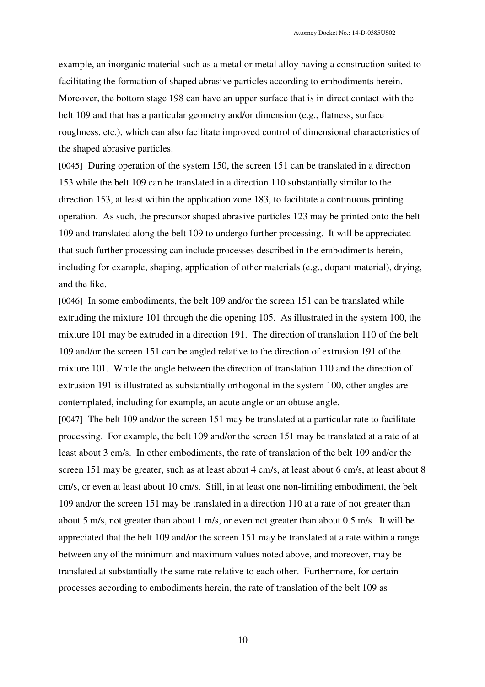example, an inorganic material such as a metal or metal alloy having a construction suited to facilitating the formation of shaped abrasive particles according to embodiments herein. Moreover, the bottom stage 198 can have an upper surface that is in direct contact with the belt 109 and that has a particular geometry and/or dimension (e.g., flatness, surface roughness, etc.), which can also facilitate improved control of dimensional characteristics of the shaped abrasive particles.

[0045] During operation of the system 150, the screen 151 can be translated in a direction 153 while the belt 109 can be translated in a direction 110 substantially similar to the direction 153, at least within the application zone 183, to facilitate a continuous printing operation. As such, the precursor shaped abrasive particles 123 may be printed onto the belt 109 and translated along the belt 109 to undergo further processing. It will be appreciated that such further processing can include processes described in the embodiments herein, including for example, shaping, application of other materials (e.g., dopant material), drying, and the like.

[0046] In some embodiments, the belt 109 and/or the screen 151 can be translated while extruding the mixture 101 through the die opening 105. As illustrated in the system 100, the mixture 101 may be extruded in a direction 191. The direction of translation 110 of the belt 109 and/or the screen 151 can be angled relative to the direction of extrusion 191 of the mixture 101. While the angle between the direction of translation 110 and the direction of extrusion 191 is illustrated as substantially orthogonal in the system 100, other angles are contemplated, including for example, an acute angle or an obtuse angle.

[0047] The belt 109 and/or the screen 151 may be translated at a particular rate to facilitate processing. For example, the belt 109 and/or the screen 151 may be translated at a rate of at least about 3 cm/s. In other embodiments, the rate of translation of the belt 109 and/or the screen 151 may be greater, such as at least about 4 cm/s, at least about 6 cm/s, at least about 8 cm/s, or even at least about 10 cm/s. Still, in at least one non-limiting embodiment, the belt 109 and/or the screen 151 may be translated in a direction 110 at a rate of not greater than about 5 m/s, not greater than about 1 m/s, or even not greater than about 0.5 m/s. It will be appreciated that the belt 109 and/or the screen 151 may be translated at a rate within a range between any of the minimum and maximum values noted above, and moreover, may be translated at substantially the same rate relative to each other. Furthermore, for certain processes according to embodiments herein, the rate of translation of the belt 109 as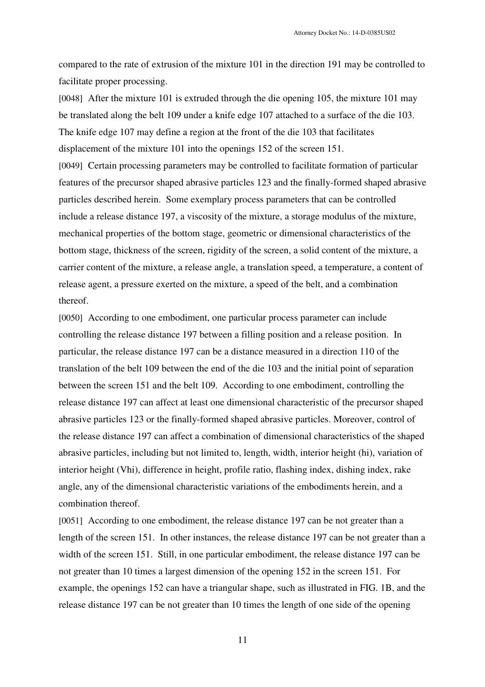compared to the rate of extrusion of the mixture 101 in the direction 191 may be controlled to facilitate proper processing.

[0048] After the mixture 101 is extruded through the die opening 105, the mixture 101 may be translated along the belt 109 under a knife edge 107 attached to a surface of the die 103. The knife edge 107 may define a region at the front of the die 103 that facilitates displacement of the mixture 101 into the openings 152 of the screen 151. [0049] Certain processing parameters may be controlled to facilitate formation of particular features of the precursor shaped abrasive particles 123 and the finally-formed shaped abrasive particles described herein. Some exemplary process parameters that can be controlled include a release distance 197, a viscosity of the mixture, a storage modulus of the mixture, mechanical properties of the bottom stage, geometric or dimensional characteristics of the bottom stage, thickness of the screen, rigidity of the screen, a solid content of the mixture, a carrier content of the mixture, a release angle, a translation speed, a temperature, a content of release agent, a pressure exerted on the mixture, a speed of the belt, and a combination thereof.

[0050] According to one embodiment, one particular process parameter can include controlling the release distance 197 between a filling position and a release position. In particular, the release distance 197 can be a distance measured in a direction 110 of the translation of the belt 109 between the end of the die 103 and the initial point of separation between the screen 151 and the belt 109. According to one embodiment, controlling the release distance 197 can affect at least one dimensional characteristic of the precursor shaped abrasive particles 123 or the finally-formed shaped abrasive particles. Moreover, control of the release distance 197 can affect a combination of dimensional characteristics of the shaped abrasive particles, including but not limited to, length, width, interior height (hi), variation of interior height (Vhi), difference in height, profile ratio, flashing index, dishing index, rake angle, any of the dimensional characteristic variations of the embodiments herein, and a combination thereof.

[0051] According to one embodiment, the release distance 197 can be not greater than a length of the screen 151. In other instances, the release distance 197 can be not greater than a width of the screen 151. Still, in one particular embodiment, the release distance 197 can be not greater than 10 times a largest dimension of the opening 152 in the screen 151. For example, the openings 152 can have a triangular shape, such as illustrated in FIG. 1B, and the release distance 197 can be not greater than 10 times the length of one side of the opening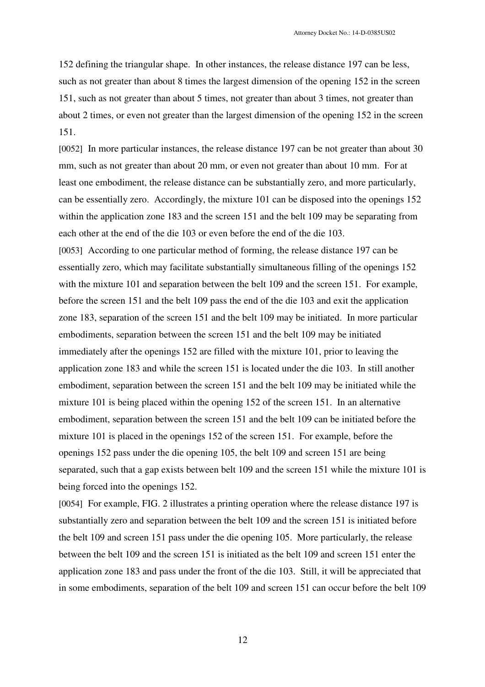152 defining the triangular shape. In other instances, the release distance 197 can be less, such as not greater than about 8 times the largest dimension of the opening 152 in the screen 151, such as not greater than about 5 times, not greater than about 3 times, not greater than about 2 times, or even not greater than the largest dimension of the opening 152 in the screen 151.

[0052] In more particular instances, the release distance 197 can be not greater than about 30 mm, such as not greater than about 20 mm, or even not greater than about 10 mm. For at least one embodiment, the release distance can be substantially zero, and more particularly, can be essentially zero. Accordingly, the mixture 101 can be disposed into the openings 152 within the application zone 183 and the screen 151 and the belt 109 may be separating from each other at the end of the die 103 or even before the end of the die 103.

[0053] According to one particular method of forming, the release distance 197 can be essentially zero, which may facilitate substantially simultaneous filling of the openings 152 with the mixture 101 and separation between the belt 109 and the screen 151. For example, before the screen 151 and the belt 109 pass the end of the die 103 and exit the application zone 183, separation of the screen 151 and the belt 109 may be initiated. In more particular embodiments, separation between the screen 151 and the belt 109 may be initiated immediately after the openings 152 are filled with the mixture 101, prior to leaving the application zone 183 and while the screen 151 is located under the die 103. In still another embodiment, separation between the screen 151 and the belt 109 may be initiated while the mixture 101 is being placed within the opening 152 of the screen 151. In an alternative embodiment, separation between the screen 151 and the belt 109 can be initiated before the mixture 101 is placed in the openings 152 of the screen 151. For example, before the openings 152 pass under the die opening 105, the belt 109 and screen 151 are being separated, such that a gap exists between belt 109 and the screen 151 while the mixture 101 is being forced into the openings 152.

[0054] For example, FIG. 2 illustrates a printing operation where the release distance 197 is substantially zero and separation between the belt 109 and the screen 151 is initiated before the belt 109 and screen 151 pass under the die opening 105. More particularly, the release between the belt 109 and the screen 151 is initiated as the belt 109 and screen 151 enter the application zone 183 and pass under the front of the die 103. Still, it will be appreciated that in some embodiments, separation of the belt 109 and screen 151 can occur before the belt 109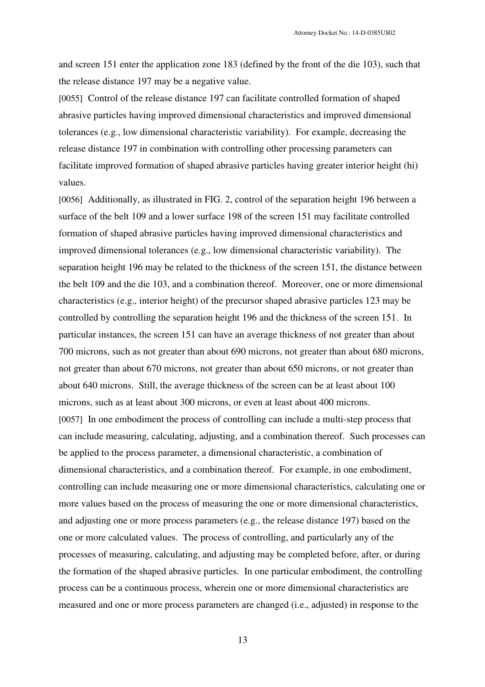and screen 151 enter the application zone 183 (defined by the front of the die 103), such that the release distance 197 may be a negative value.

[0055] Control of the release distance 197 can facilitate controlled formation of shaped abrasive particles having improved dimensional characteristics and improved dimensional tolerances (e.g., low dimensional characteristic variability). For example, decreasing the release distance 197 in combination with controlling other processing parameters can facilitate improved formation of shaped abrasive particles having greater interior height (hi) values.

[0056] Additionally, as illustrated in FIG. 2, control of the separation height 196 between a surface of the belt 109 and a lower surface 198 of the screen 151 may facilitate controlled formation of shaped abrasive particles having improved dimensional characteristics and improved dimensional tolerances (e.g., low dimensional characteristic variability). The separation height 196 may be related to the thickness of the screen 151, the distance between the belt 109 and the die 103, and a combination thereof. Moreover, one or more dimensional characteristics (e.g., interior height) of the precursor shaped abrasive particles 123 may be controlled by controlling the separation height 196 and the thickness of the screen 151. In particular instances, the screen 151 can have an average thickness of not greater than about 700 microns, such as not greater than about 690 microns, not greater than about 680 microns, not greater than about 670 microns, not greater than about 650 microns, or not greater than about 640 microns. Still, the average thickness of the screen can be at least about 100 microns, such as at least about 300 microns, or even at least about 400 microns. [0057] In one embodiment the process of controlling can include a multi-step process that can include measuring, calculating, adjusting, and a combination thereof. Such processes can be applied to the process parameter, a dimensional characteristic, a combination of dimensional characteristics, and a combination thereof. For example, in one embodiment, controlling can include measuring one or more dimensional characteristics, calculating one or more values based on the process of measuring the one or more dimensional characteristics, and adjusting one or more process parameters (e.g., the release distance 197) based on the one or more calculated values. The process of controlling, and particularly any of the processes of measuring, calculating, and adjusting may be completed before, after, or during the formation of the shaped abrasive particles. In one particular embodiment, the controlling process can be a continuous process, wherein one or more dimensional characteristics are measured and one or more process parameters are changed (i.e., adjusted) in response to the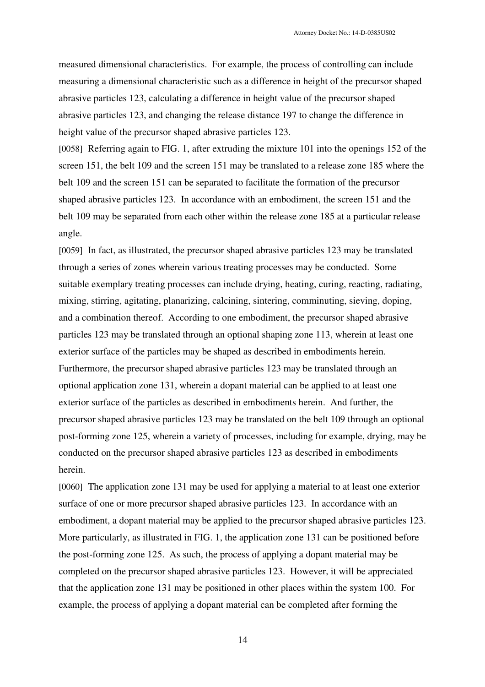measured dimensional characteristics. For example, the process of controlling can include measuring a dimensional characteristic such as a difference in height of the precursor shaped abrasive particles 123, calculating a difference in height value of the precursor shaped abrasive particles 123, and changing the release distance 197 to change the difference in height value of the precursor shaped abrasive particles 123.

[0058] Referring again to FIG. 1, after extruding the mixture 101 into the openings 152 of the screen 151, the belt 109 and the screen 151 may be translated to a release zone 185 where the belt 109 and the screen 151 can be separated to facilitate the formation of the precursor shaped abrasive particles 123. In accordance with an embodiment, the screen 151 and the belt 109 may be separated from each other within the release zone 185 at a particular release angle.

[0059] In fact, as illustrated, the precursor shaped abrasive particles 123 may be translated through a series of zones wherein various treating processes may be conducted. Some suitable exemplary treating processes can include drying, heating, curing, reacting, radiating, mixing, stirring, agitating, planarizing, calcining, sintering, comminuting, sieving, doping, and a combination thereof. According to one embodiment, the precursor shaped abrasive particles 123 may be translated through an optional shaping zone 113, wherein at least one exterior surface of the particles may be shaped as described in embodiments herein. Furthermore, the precursor shaped abrasive particles 123 may be translated through an optional application zone 131, wherein a dopant material can be applied to at least one exterior surface of the particles as described in embodiments herein. And further, the precursor shaped abrasive particles 123 may be translated on the belt 109 through an optional post-forming zone 125, wherein a variety of processes, including for example, drying, may be conducted on the precursor shaped abrasive particles 123 as described in embodiments herein.

[0060] The application zone 131 may be used for applying a material to at least one exterior surface of one or more precursor shaped abrasive particles 123. In accordance with an embodiment, a dopant material may be applied to the precursor shaped abrasive particles 123. More particularly, as illustrated in FIG. 1, the application zone 131 can be positioned before the post-forming zone 125. As such, the process of applying a dopant material may be completed on the precursor shaped abrasive particles 123. However, it will be appreciated that the application zone 131 may be positioned in other places within the system 100. For example, the process of applying a dopant material can be completed after forming the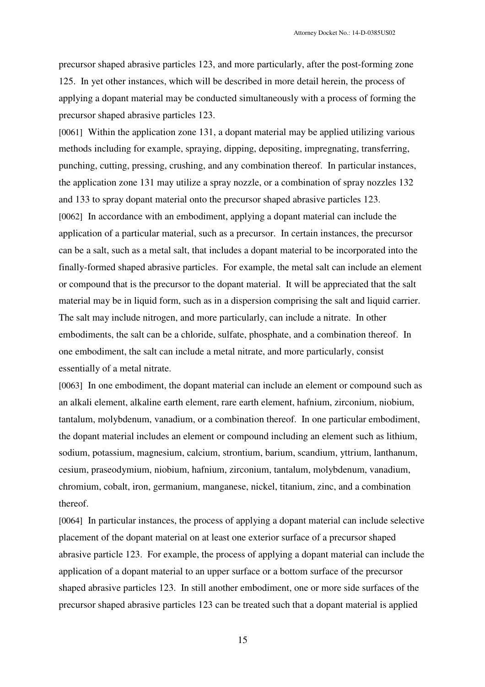precursor shaped abrasive particles 123, and more particularly, after the post-forming zone 125. In yet other instances, which will be described in more detail herein, the process of applying a dopant material may be conducted simultaneously with a process of forming the precursor shaped abrasive particles 123.

[0061] Within the application zone 131, a dopant material may be applied utilizing various methods including for example, spraying, dipping, depositing, impregnating, transferring, punching, cutting, pressing, crushing, and any combination thereof. In particular instances, the application zone 131 may utilize a spray nozzle, or a combination of spray nozzles 132 and 133 to spray dopant material onto the precursor shaped abrasive particles 123. [0062] In accordance with an embodiment, applying a dopant material can include the application of a particular material, such as a precursor. In certain instances, the precursor can be a salt, such as a metal salt, that includes a dopant material to be incorporated into the finally-formed shaped abrasive particles. For example, the metal salt can include an element or compound that is the precursor to the dopant material. It will be appreciated that the salt material may be in liquid form, such as in a dispersion comprising the salt and liquid carrier. The salt may include nitrogen, and more particularly, can include a nitrate. In other embodiments, the salt can be a chloride, sulfate, phosphate, and a combination thereof. In one embodiment, the salt can include a metal nitrate, and more particularly, consist essentially of a metal nitrate.

[0063] In one embodiment, the dopant material can include an element or compound such as an alkali element, alkaline earth element, rare earth element, hafnium, zirconium, niobium, tantalum, molybdenum, vanadium, or a combination thereof. In one particular embodiment, the dopant material includes an element or compound including an element such as lithium, sodium, potassium, magnesium, calcium, strontium, barium, scandium, yttrium, lanthanum, cesium, praseodymium, niobium, hafnium, zirconium, tantalum, molybdenum, vanadium, chromium, cobalt, iron, germanium, manganese, nickel, titanium, zinc, and a combination thereof.

[0064] In particular instances, the process of applying a dopant material can include selective placement of the dopant material on at least one exterior surface of a precursor shaped abrasive particle 123. For example, the process of applying a dopant material can include the application of a dopant material to an upper surface or a bottom surface of the precursor shaped abrasive particles 123. In still another embodiment, one or more side surfaces of the precursor shaped abrasive particles 123 can be treated such that a dopant material is applied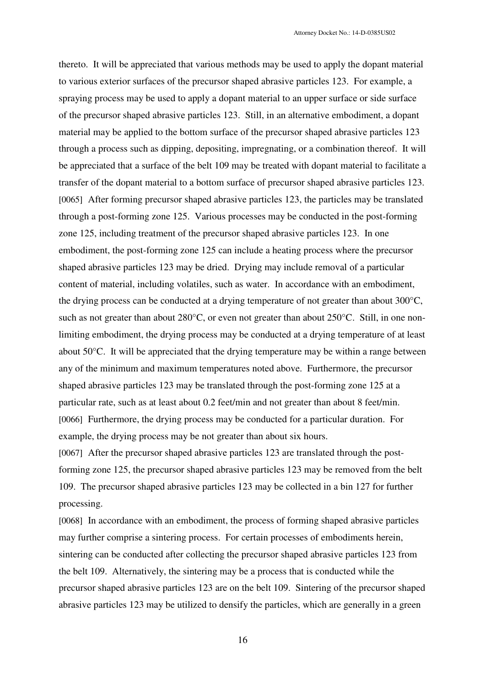thereto. It will be appreciated that various methods may be used to apply the dopant material to various exterior surfaces of the precursor shaped abrasive particles 123. For example, a spraying process may be used to apply a dopant material to an upper surface or side surface of the precursor shaped abrasive particles 123. Still, in an alternative embodiment, a dopant material may be applied to the bottom surface of the precursor shaped abrasive particles 123 through a process such as dipping, depositing, impregnating, or a combination thereof. It will be appreciated that a surface of the belt 109 may be treated with dopant material to facilitate a transfer of the dopant material to a bottom surface of precursor shaped abrasive particles 123. [0065] After forming precursor shaped abrasive particles 123, the particles may be translated through a post-forming zone 125. Various processes may be conducted in the post-forming zone 125, including treatment of the precursor shaped abrasive particles 123. In one embodiment, the post-forming zone 125 can include a heating process where the precursor shaped abrasive particles 123 may be dried. Drying may include removal of a particular content of material, including volatiles, such as water. In accordance with an embodiment, the drying process can be conducted at a drying temperature of not greater than about 300°C, such as not greater than about 280°C, or even not greater than about 250°C. Still, in one nonlimiting embodiment, the drying process may be conducted at a drying temperature of at least about 50°C. It will be appreciated that the drying temperature may be within a range between any of the minimum and maximum temperatures noted above. Furthermore, the precursor shaped abrasive particles 123 may be translated through the post-forming zone 125 at a particular rate, such as at least about 0.2 feet/min and not greater than about 8 feet/min. [0066] Furthermore, the drying process may be conducted for a particular duration. For example, the drying process may be not greater than about six hours.

[0067] After the precursor shaped abrasive particles 123 are translated through the postforming zone 125, the precursor shaped abrasive particles 123 may be removed from the belt 109. The precursor shaped abrasive particles 123 may be collected in a bin 127 for further processing.

[0068] In accordance with an embodiment, the process of forming shaped abrasive particles may further comprise a sintering process. For certain processes of embodiments herein, sintering can be conducted after collecting the precursor shaped abrasive particles 123 from the belt 109. Alternatively, the sintering may be a process that is conducted while the precursor shaped abrasive particles 123 are on the belt 109. Sintering of the precursor shaped abrasive particles 123 may be utilized to densify the particles, which are generally in a green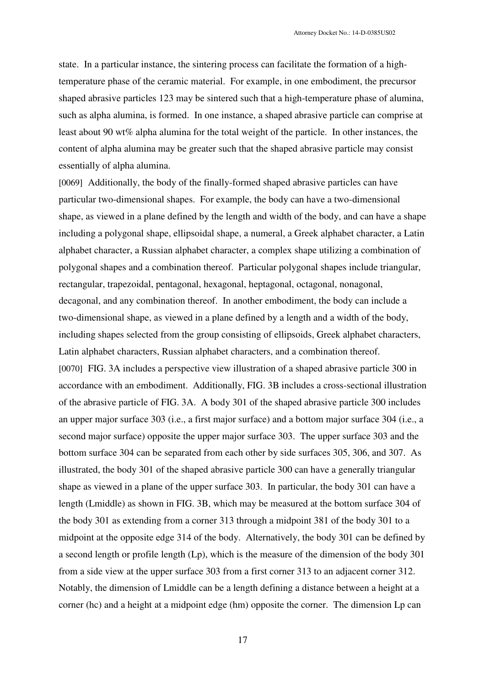state. In a particular instance, the sintering process can facilitate the formation of a hightemperature phase of the ceramic material. For example, in one embodiment, the precursor shaped abrasive particles 123 may be sintered such that a high-temperature phase of alumina, such as alpha alumina, is formed. In one instance, a shaped abrasive particle can comprise at least about 90 wt% alpha alumina for the total weight of the particle. In other instances, the content of alpha alumina may be greater such that the shaped abrasive particle may consist essentially of alpha alumina.

[0069] Additionally, the body of the finally-formed shaped abrasive particles can have particular two-dimensional shapes. For example, the body can have a two-dimensional shape, as viewed in a plane defined by the length and width of the body, and can have a shape including a polygonal shape, ellipsoidal shape, a numeral, a Greek alphabet character, a Latin alphabet character, a Russian alphabet character, a complex shape utilizing a combination of polygonal shapes and a combination thereof. Particular polygonal shapes include triangular, rectangular, trapezoidal, pentagonal, hexagonal, heptagonal, octagonal, nonagonal, decagonal, and any combination thereof. In another embodiment, the body can include a two-dimensional shape, as viewed in a plane defined by a length and a width of the body, including shapes selected from the group consisting of ellipsoids, Greek alphabet characters, Latin alphabet characters, Russian alphabet characters, and a combination thereof. [0070] FIG. 3A includes a perspective view illustration of a shaped abrasive particle 300 in accordance with an embodiment. Additionally, FIG. 3B includes a cross-sectional illustration of the abrasive particle of FIG. 3A. A body 301 of the shaped abrasive particle 300 includes an upper major surface 303 (i.e., a first major surface) and a bottom major surface 304 (i.e., a second major surface) opposite the upper major surface 303. The upper surface 303 and the bottom surface 304 can be separated from each other by side surfaces 305, 306, and 307. As illustrated, the body 301 of the shaped abrasive particle 300 can have a generally triangular shape as viewed in a plane of the upper surface 303. In particular, the body 301 can have a length (Lmiddle) as shown in FIG. 3B, which may be measured at the bottom surface 304 of the body 301 as extending from a corner 313 through a midpoint 381 of the body 301 to a midpoint at the opposite edge 314 of the body. Alternatively, the body 301 can be defined by a second length or profile length (Lp), which is the measure of the dimension of the body 301 from a side view at the upper surface 303 from a first corner 313 to an adjacent corner 312. Notably, the dimension of Lmiddle can be a length defining a distance between a height at a corner (hc) and a height at a midpoint edge (hm) opposite the corner.The dimension Lp can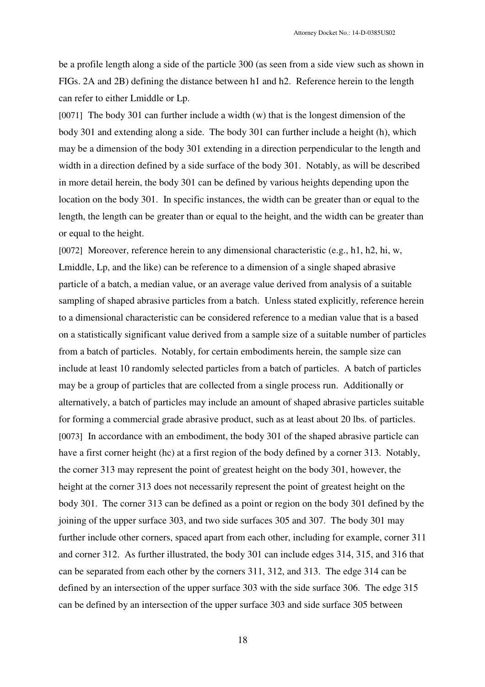be a profile length along a side of the particle 300 (as seen from a side view such as shown in FIGs. 2A and 2B) defining the distance between h1 and h2. Reference herein to the length can refer to either Lmiddle or Lp.

[0071] The body 301 can further include a width (w) that is the longest dimension of the body 301 and extending along a side. The body 301 can further include a height (h), which may be a dimension of the body 301 extending in a direction perpendicular to the length and width in a direction defined by a side surface of the body 301. Notably, as will be described in more detail herein, the body 301 can be defined by various heights depending upon the location on the body 301. In specific instances, the width can be greater than or equal to the length, the length can be greater than or equal to the height, and the width can be greater than or equal to the height.

[0072] Moreover, reference herein to any dimensional characteristic (e.g., h1, h2, hi, w, Lmiddle, Lp, and the like) can be reference to a dimension of a single shaped abrasive particle of a batch, a median value, or an average value derived from analysis of a suitable sampling of shaped abrasive particles from a batch. Unless stated explicitly, reference herein to a dimensional characteristic can be considered reference to a median value that is a based on a statistically significant value derived from a sample size of a suitable number of particles from a batch of particles. Notably, for certain embodiments herein, the sample size can include at least 10 randomly selected particles from a batch of particles. A batch of particles may be a group of particles that are collected from a single process run. Additionally or alternatively, a batch of particles may include an amount of shaped abrasive particles suitable for forming a commercial grade abrasive product, such as at least about 20 lbs. of particles. [0073] In accordance with an embodiment, the body 301 of the shaped abrasive particle can have a first corner height (hc) at a first region of the body defined by a corner 313. Notably, the corner 313 may represent the point of greatest height on the body 301, however, the height at the corner 313 does not necessarily represent the point of greatest height on the body 301. The corner 313 can be defined as a point or region on the body 301 defined by the joining of the upper surface 303, and two side surfaces 305 and 307. The body 301 may further include other corners, spaced apart from each other, including for example, corner 311 and corner 312. As further illustrated, the body 301 can include edges 314, 315, and 316 that can be separated from each other by the corners 311, 312, and 313. The edge 314 can be defined by an intersection of the upper surface 303 with the side surface 306. The edge 315 can be defined by an intersection of the upper surface 303 and side surface 305 between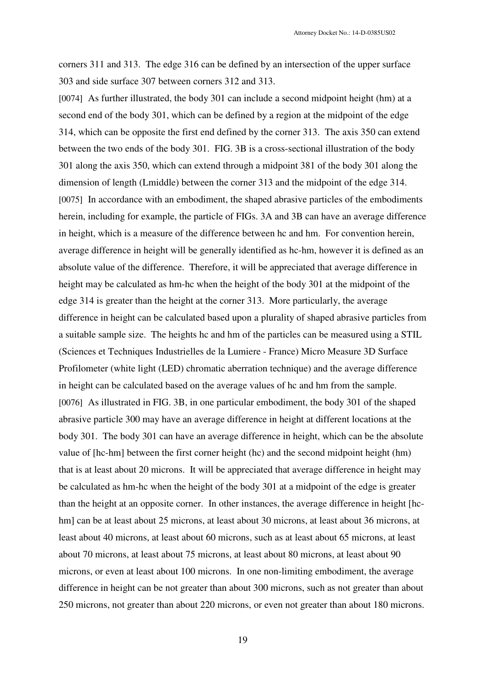Attorney Docket No.: 14-D-0385US02

corners 311 and 313. The edge 316 can be defined by an intersection of the upper surface 303 and side surface 307 between corners 312 and 313.

[0074] As further illustrated, the body 301 can include a second midpoint height (hm) at a second end of the body 301, which can be defined by a region at the midpoint of the edge 314, which can be opposite the first end defined by the corner 313. The axis 350 can extend between the two ends of the body 301. FIG. 3B is a cross-sectional illustration of the body 301 along the axis 350, which can extend through a midpoint 381 of the body 301 along the dimension of length (Lmiddle) between the corner 313 and the midpoint of the edge 314. [0075] In accordance with an embodiment, the shaped abrasive particles of the embodiments herein, including for example, the particle of FIGs. 3A and 3B can have an average difference in height, which is a measure of the difference between hc and hm. For convention herein, average difference in height will be generally identified as hc-hm, however it is defined as an absolute value of the difference. Therefore, it will be appreciated that average difference in height may be calculated as hm-hc when the height of the body 301 at the midpoint of the edge 314 is greater than the height at the corner 313. More particularly, the average difference in height can be calculated based upon a plurality of shaped abrasive particles from a suitable sample size.The heights hc and hm of the particles can be measured using a STIL (Sciences et Techniques Industrielles de la Lumiere - France) Micro Measure 3D Surface Profilometer (white light (LED) chromatic aberration technique) and the average difference in height can be calculated based on the average values of hc and hm from the sample. [0076] As illustrated in FIG. 3B, in one particular embodiment, the body 301 of the shaped abrasive particle 300 may have an average difference in height at different locations at the body 301. The body 301 can have an average difference in height, which can be the absolute value of [hc-hm] between the first corner height (hc) and the second midpoint height (hm) that is at least about 20 microns. It will be appreciated that average difference in height may be calculated as hm-hc when the height of the body 301 at a midpoint of the edge is greater than the height at an opposite corner. In other instances, the average difference in height [hchm] can be at least about 25 microns, at least about 30 microns, at least about 36 microns, at least about 40 microns, at least about 60 microns, such as at least about 65 microns, at least about 70 microns, at least about 75 microns, at least about 80 microns, at least about 90 microns, or even at least about 100 microns. In one non-limiting embodiment, the average difference in height can be not greater than about 300 microns, such as not greater than about 250 microns, not greater than about 220 microns, or even not greater than about 180 microns.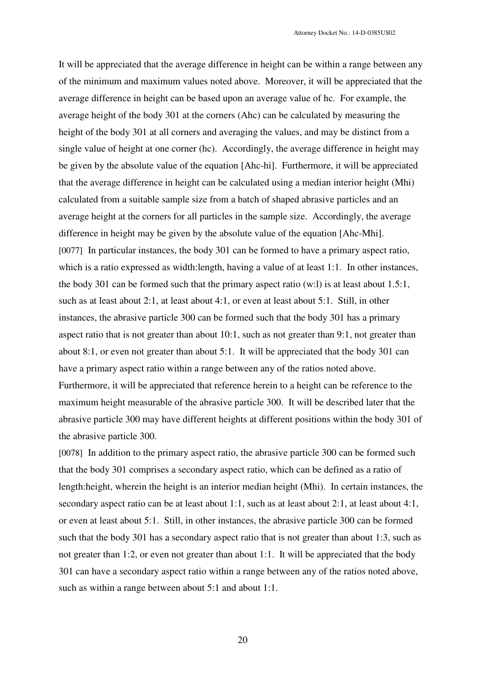It will be appreciated that the average difference in height can be within a range between any of the minimum and maximum values noted above. Moreover, it will be appreciated that the average difference in height can be based upon an average value of hc. For example, the average height of the body 301 at the corners (Ahc) can be calculated by measuring the height of the body 301 at all corners and averaging the values, and may be distinct from a single value of height at one corner (hc). Accordingly, the average difference in height may be given by the absolute value of the equation [Ahc-hi]. Furthermore, it will be appreciated that the average difference in height can be calculated using a median interior height (Mhi) calculated from a suitable sample size from a batch of shaped abrasive particles and an average height at the corners for all particles in the sample size. Accordingly, the average difference in height may be given by the absolute value of the equation [Ahc-Mhi]. [0077] In particular instances, the body 301 can be formed to have a primary aspect ratio, which is a ratio expressed as width: length, having a value of at least 1:1. In other instances, the body 301 can be formed such that the primary aspect ratio (w:l) is at least about 1.5:1, such as at least about 2:1, at least about 4:1, or even at least about 5:1. Still, in other instances, the abrasive particle 300 can be formed such that the body 301 has a primary aspect ratio that is not greater than about 10:1, such as not greater than 9:1, not greater than about 8:1, or even not greater than about 5:1. It will be appreciated that the body 301 can have a primary aspect ratio within a range between any of the ratios noted above. Furthermore, it will be appreciated that reference herein to a height can be reference to the maximum height measurable of the abrasive particle 300. It will be described later that the abrasive particle 300 may have different heights at different positions within the body 301 of the abrasive particle 300.

[0078] In addition to the primary aspect ratio, the abrasive particle 300 can be formed such that the body 301 comprises a secondary aspect ratio, which can be defined as a ratio of length:height, wherein the height is an interior median height (Mhi). In certain instances, the secondary aspect ratio can be at least about 1:1, such as at least about 2:1, at least about 4:1, or even at least about 5:1. Still, in other instances, the abrasive particle 300 can be formed such that the body 301 has a secondary aspect ratio that is not greater than about 1:3, such as not greater than 1:2, or even not greater than about 1:1. It will be appreciated that the body 301 can have a secondary aspect ratio within a range between any of the ratios noted above, such as within a range between about 5:1 and about 1:1.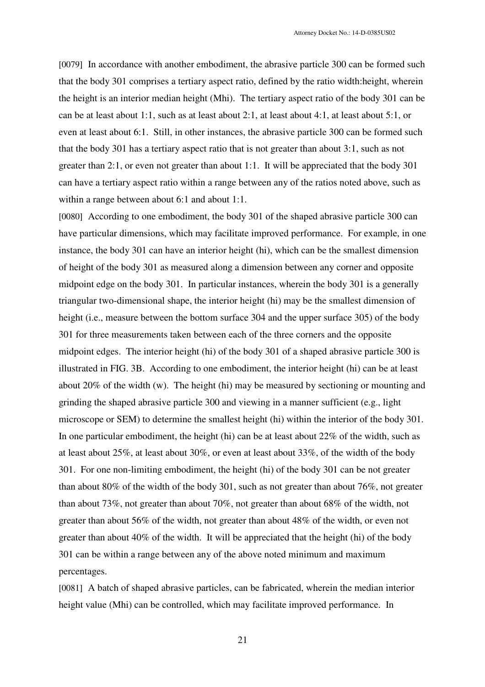[0079] In accordance with another embodiment, the abrasive particle 300 can be formed such that the body 301 comprises a tertiary aspect ratio, defined by the ratio width:height, wherein the height is an interior median height (Mhi). The tertiary aspect ratio of the body 301 can be can be at least about 1:1, such as at least about 2:1, at least about 4:1, at least about 5:1, or even at least about 6:1. Still, in other instances, the abrasive particle 300 can be formed such that the body 301 has a tertiary aspect ratio that is not greater than about 3:1, such as not greater than 2:1, or even not greater than about 1:1. It will be appreciated that the body 301 can have a tertiary aspect ratio within a range between any of the ratios noted above, such as within a range between about 6:1 and about 1:1.

[0080] According to one embodiment, the body 301 of the shaped abrasive particle 300 can have particular dimensions, which may facilitate improved performance. For example, in one instance, the body 301 can have an interior height (hi), which can be the smallest dimension of height of the body 301 as measured along a dimension between any corner and opposite midpoint edge on the body 301. In particular instances, wherein the body 301 is a generally triangular two-dimensional shape, the interior height (hi) may be the smallest dimension of height (i.e., measure between the bottom surface 304 and the upper surface 305) of the body 301 for three measurements taken between each of the three corners and the opposite midpoint edges. The interior height (hi) of the body 301 of a shaped abrasive particle 300 is illustrated in FIG. 3B. According to one embodiment, the interior height (hi) can be at least about 20% of the width (w). The height (hi) may be measured by sectioning or mounting and grinding the shaped abrasive particle 300 and viewing in a manner sufficient (e.g., light microscope or SEM) to determine the smallest height (hi) within the interior of the body 301. In one particular embodiment, the height (hi) can be at least about 22% of the width, such as at least about 25%, at least about 30%, or even at least about 33%, of the width of the body 301. For one non-limiting embodiment, the height (hi) of the body 301 can be not greater than about 80% of the width of the body 301, such as not greater than about 76%, not greater than about 73%, not greater than about 70%, not greater than about 68% of the width, not greater than about 56% of the width, not greater than about 48% of the width, or even not greater than about 40% of the width. It will be appreciated that the height (hi) of the body 301 can be within a range between any of the above noted minimum and maximum percentages.

[0081] A batch of shaped abrasive particles, can be fabricated, wherein the median interior height value (Mhi) can be controlled, which may facilitate improved performance. In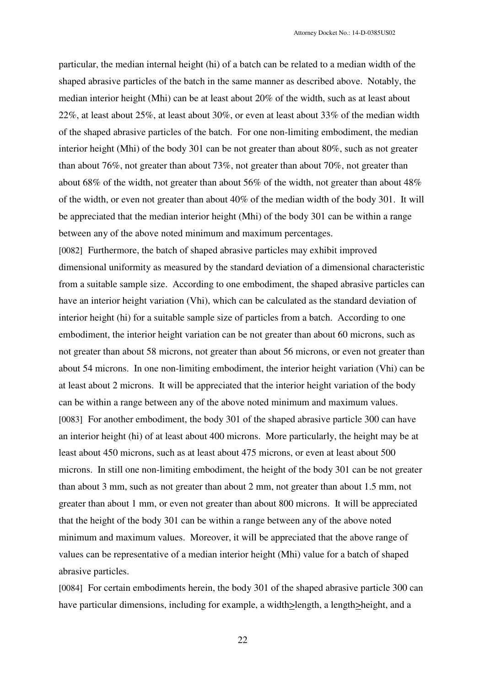particular, the median internal height (hi) of a batch can be related to a median width of the shaped abrasive particles of the batch in the same manner as described above. Notably, the median interior height (Mhi) can be at least about 20% of the width, such as at least about 22%, at least about 25%, at least about 30%, or even at least about 33% of the median width of the shaped abrasive particles of the batch. For one non-limiting embodiment, the median interior height (Mhi) of the body 301 can be not greater than about 80%, such as not greater than about 76%, not greater than about 73%, not greater than about 70%, not greater than about 68% of the width, not greater than about 56% of the width, not greater than about 48% of the width, or even not greater than about 40% of the median width of the body 301. It will be appreciated that the median interior height (Mhi) of the body 301 can be within a range between any of the above noted minimum and maximum percentages.

[0082] Furthermore, the batch of shaped abrasive particles may exhibit improved dimensional uniformity as measured by the standard deviation of a dimensional characteristic from a suitable sample size. According to one embodiment, the shaped abrasive particles can have an interior height variation (Vhi), which can be calculated as the standard deviation of interior height (hi) for a suitable sample size of particles from a batch. According to one embodiment, the interior height variation can be not greater than about 60 microns, such as not greater than about 58 microns, not greater than about 56 microns, or even not greater than about 54 microns. In one non-limiting embodiment, the interior height variation (Vhi) can be at least about 2 microns. It will be appreciated that the interior height variation of the body can be within a range between any of the above noted minimum and maximum values. [0083] For another embodiment, the body 301 of the shaped abrasive particle 300 can have an interior height (hi) of at least about 400 microns. More particularly, the height may be at least about 450 microns, such as at least about 475 microns, or even at least about 500 microns. In still one non-limiting embodiment, the height of the body 301 can be not greater than about 3 mm, such as not greater than about 2 mm, not greater than about 1.5 mm, not greater than about 1 mm, or even not greater than about 800 microns. It will be appreciated that the height of the body 301 can be within a range between any of the above noted minimum and maximum values. Moreover, it will be appreciated that the above range of values can be representative of a median interior height (Mhi) value for a batch of shaped abrasive particles.

[0084] For certain embodiments herein, the body 301 of the shaped abrasive particle 300 can have particular dimensions, including for example, a width>length, a length>height, and a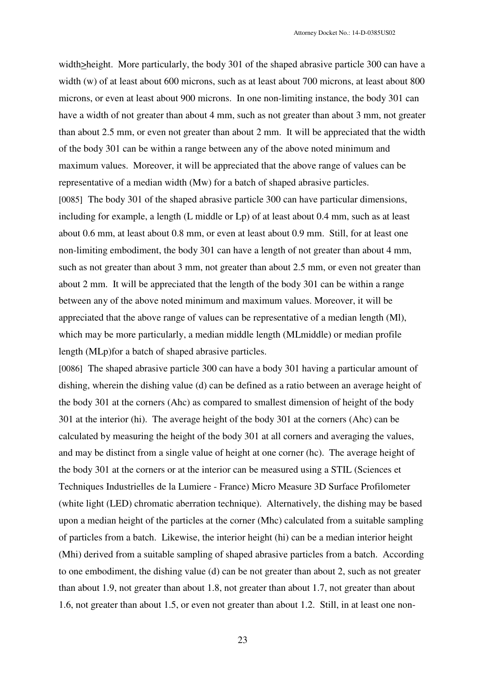width>height. More particularly, the body 301 of the shaped abrasive particle 300 can have a width (w) of at least about 600 microns, such as at least about 700 microns, at least about 800 microns, or even at least about 900 microns. In one non-limiting instance, the body 301 can have a width of not greater than about 4 mm, such as not greater than about 3 mm, not greater than about 2.5 mm, or even not greater than about 2 mm. It will be appreciated that the width of the body 301 can be within a range between any of the above noted minimum and maximum values. Moreover, it will be appreciated that the above range of values can be representative of a median width (Mw) for a batch of shaped abrasive particles. [0085] The body 301 of the shaped abrasive particle 300 can have particular dimensions, including for example, a length (L middle or Lp) of at least about 0.4 mm, such as at least about 0.6 mm, at least about 0.8 mm, or even at least about 0.9 mm. Still, for at least one non-limiting embodiment, the body 301 can have a length of not greater than about 4 mm, such as not greater than about 3 mm, not greater than about 2.5 mm, or even not greater than about 2 mm. It will be appreciated that the length of the body 301 can be within a range between any of the above noted minimum and maximum values. Moreover, it will be appreciated that the above range of values can be representative of a median length (Ml), which may be more particularly, a median middle length (MLmiddle) or median profile length (MLp)for a batch of shaped abrasive particles.

[0086] The shaped abrasive particle 300 can have a body 301 having a particular amount of dishing, wherein the dishing value (d) can be defined as a ratio between an average height of the body 301 at the corners (Ahc) as compared to smallest dimension of height of the body 301 at the interior (hi). The average height of the body 301 at the corners (Ahc) can be calculated by measuring the height of the body 301 at all corners and averaging the values, and may be distinct from a single value of height at one corner (hc). The average height of the body 301 at the corners or at the interior can be measured using a STIL (Sciences et Techniques Industrielles de la Lumiere - France) Micro Measure 3D Surface Profilometer (white light (LED) chromatic aberration technique). Alternatively, the dishing may be based upon a median height of the particles at the corner (Mhc) calculated from a suitable sampling of particles from a batch. Likewise, the interior height (hi) can be a median interior height (Mhi) derived from a suitable sampling of shaped abrasive particles from a batch. According to one embodiment, the dishing value (d) can be not greater than about 2, such as not greater than about 1.9, not greater than about 1.8, not greater than about 1.7, not greater than about 1.6, not greater than about 1.5, or even not greater than about 1.2. Still, in at least one non-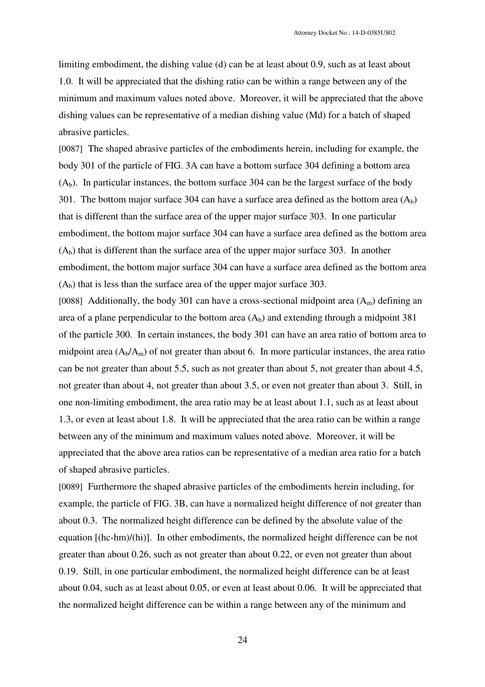limiting embodiment, the dishing value (d) can be at least about 0.9, such as at least about 1.0. It will be appreciated that the dishing ratio can be within a range between any of the minimum and maximum values noted above. Moreover, it will be appreciated that the above dishing values can be representative of a median dishing value (Md) for a batch of shaped abrasive particles.

[0087] The shaped abrasive particles of the embodiments herein, including for example, the body 301 of the particle of FIG. 3A can have a bottom surface 304 defining a bottom area  $(A<sub>b</sub>)$ . In particular instances, the bottom surface 304 can be the largest surface of the body 301. The bottom major surface 304 can have a surface area defined as the bottom area  $(A_h)$ that is different than the surface area of the upper major surface 303. In one particular embodiment, the bottom major surface 304 can have a surface area defined as the bottom area  $(A<sub>b</sub>)$  that is different than the surface area of the upper major surface 303. In another embodiment, the bottom major surface 304 can have a surface area defined as the bottom area  $(A<sub>b</sub>)$  that is less than the surface area of the upper major surface 303.

[0088] Additionally, the body 301 can have a cross-sectional midpoint area  $(A<sub>m</sub>)$  defining an area of a plane perpendicular to the bottom area  $(A_b)$  and extending through a midpoint 381 of the particle 300. In certain instances, the body 301 can have an area ratio of bottom area to midpoint area  $(A_b/A_m)$  of not greater than about 6. In more particular instances, the area ratio can be not greater than about 5.5, such as not greater than about 5, not greater than about 4.5, not greater than about 4, not greater than about 3.5, or even not greater than about 3. Still, in one non-limiting embodiment, the area ratio may be at least about 1.1, such as at least about 1.3, or even at least about 1.8. It will be appreciated that the area ratio can be within a range between any of the minimum and maximum values noted above. Moreover, it will be appreciated that the above area ratios can be representative of a median area ratio for a batch of shaped abrasive particles.

[0089] Furthermore the shaped abrasive particles of the embodiments herein including, for example, the particle of FIG. 3B, can have a normalized height difference of not greater than about 0.3. The normalized height difference can be defined by the absolute value of the equation [(hc-hm)/(hi)]. In other embodiments, the normalized height difference can be not greater than about 0.26, such as not greater than about 0.22, or even not greater than about 0.19. Still, in one particular embodiment, the normalized height difference can be at least about 0.04, such as at least about 0.05, or even at least about 0.06. It will be appreciated that the normalized height difference can be within a range between any of the minimum and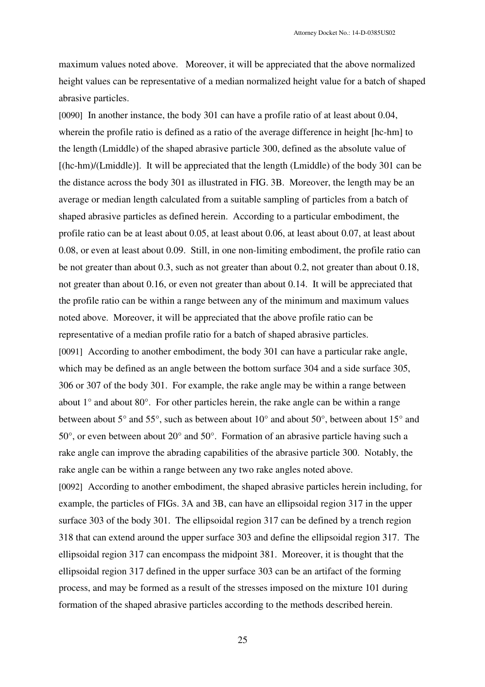maximum values noted above. Moreover, it will be appreciated that the above normalized height values can be representative of a median normalized height value for a batch of shaped abrasive particles.

[0090] In another instance, the body 301 can have a profile ratio of at least about 0.04, wherein the profile ratio is defined as a ratio of the average difference in height [hc-hm] to the length (Lmiddle) of the shaped abrasive particle 300, defined as the absolute value of [(hc-hm)/(Lmiddle)]. It will be appreciated that the length (Lmiddle) of the body 301 can be the distance across the body 301 as illustrated in FIG. 3B. Moreover, the length may be an average or median length calculated from a suitable sampling of particles from a batch of shaped abrasive particles as defined herein. According to a particular embodiment, the profile ratio can be at least about 0.05, at least about 0.06, at least about 0.07, at least about 0.08, or even at least about 0.09. Still, in one non-limiting embodiment, the profile ratio can be not greater than about 0.3, such as not greater than about 0.2, not greater than about 0.18, not greater than about 0.16, or even not greater than about 0.14. It will be appreciated that the profile ratio can be within a range between any of the minimum and maximum values noted above. Moreover, it will be appreciated that the above profile ratio can be representative of a median profile ratio for a batch of shaped abrasive particles. [0091] According to another embodiment, the body 301 can have a particular rake angle, which may be defined as an angle between the bottom surface 304 and a side surface 305, 306 or 307 of the body 301. For example, the rake angle may be within a range between about  $1^\circ$  and about  $80^\circ$ . For other particles herein, the rake angle can be within a range between about 5° and 55°, such as between about 10° and about 50°, between about 15° and 50°, or even between about 20° and 50°. Formation of an abrasive particle having such a rake angle can improve the abrading capabilities of the abrasive particle 300. Notably, the rake angle can be within a range between any two rake angles noted above. [0092] According to another embodiment, the shaped abrasive particles herein including, for example, the particles of FIGs. 3A and 3B, can have an ellipsoidal region 317 in the upper surface 303 of the body 301. The ellipsoidal region 317 can be defined by a trench region 318 that can extend around the upper surface 303 and define the ellipsoidal region 317. The ellipsoidal region 317 can encompass the midpoint 381. Moreover, it is thought that the ellipsoidal region 317 defined in the upper surface 303 can be an artifact of the forming process, and may be formed as a result of the stresses imposed on the mixture 101 during

25

formation of the shaped abrasive particles according to the methods described herein.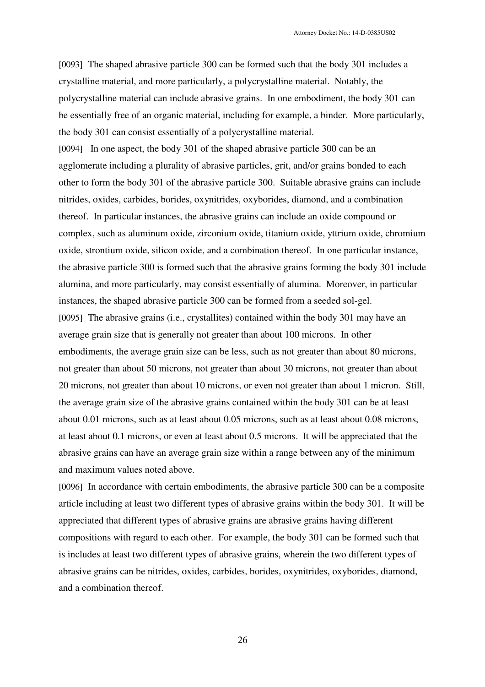[0093] The shaped abrasive particle 300 can be formed such that the body 301 includes a crystalline material, and more particularly, a polycrystalline material. Notably, the polycrystalline material can include abrasive grains. In one embodiment, the body 301 can be essentially free of an organic material, including for example, a binder. More particularly, the body 301 can consist essentially of a polycrystalline material.

[0094] In one aspect, the body 301 of the shaped abrasive particle 300 can be an agglomerate including a plurality of abrasive particles, grit, and/or grains bonded to each other to form the body 301 of the abrasive particle 300. Suitable abrasive grains can include nitrides, oxides, carbides, borides, oxynitrides, oxyborides, diamond, and a combination thereof. In particular instances, the abrasive grains can include an oxide compound or complex, such as aluminum oxide, zirconium oxide, titanium oxide, yttrium oxide, chromium oxide, strontium oxide, silicon oxide, and a combination thereof. In one particular instance, the abrasive particle 300 is formed such that the abrasive grains forming the body 301 include alumina, and more particularly, may consist essentially of alumina. Moreover, in particular instances, the shaped abrasive particle 300 can be formed from a seeded sol-gel. [0095] The abrasive grains (i.e., crystallites) contained within the body 301 may have an average grain size that is generally not greater than about 100 microns. In other embodiments, the average grain size can be less, such as not greater than about 80 microns, not greater than about 50 microns, not greater than about 30 microns, not greater than about 20 microns, not greater than about 10 microns, or even not greater than about 1 micron. Still, the average grain size of the abrasive grains contained within the body 301 can be at least about 0.01 microns, such as at least about 0.05 microns, such as at least about 0.08 microns, at least about 0.1 microns, or even at least about 0.5 microns. It will be appreciated that the abrasive grains can have an average grain size within a range between any of the minimum and maximum values noted above.

[0096] In accordance with certain embodiments, the abrasive particle 300 can be a composite article including at least two different types of abrasive grains within the body 301. It will be appreciated that different types of abrasive grains are abrasive grains having different compositions with regard to each other. For example, the body 301 can be formed such that is includes at least two different types of abrasive grains, wherein the two different types of abrasive grains can be nitrides, oxides, carbides, borides, oxynitrides, oxyborides, diamond, and a combination thereof.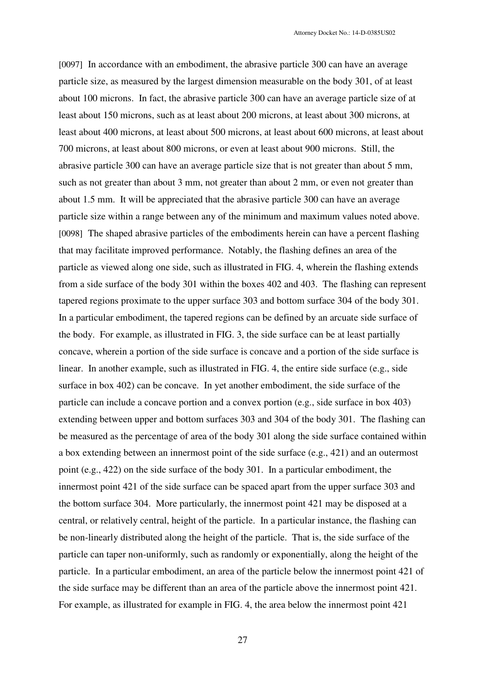[0097] In accordance with an embodiment, the abrasive particle 300 can have an average particle size, as measured by the largest dimension measurable on the body 301, of at least about 100 microns. In fact, the abrasive particle 300 can have an average particle size of at least about 150 microns, such as at least about 200 microns, at least about 300 microns, at least about 400 microns, at least about 500 microns, at least about 600 microns, at least about 700 microns, at least about 800 microns, or even at least about 900 microns. Still, the abrasive particle 300 can have an average particle size that is not greater than about 5 mm, such as not greater than about 3 mm, not greater than about 2 mm, or even not greater than about 1.5 mm. It will be appreciated that the abrasive particle 300 can have an average particle size within a range between any of the minimum and maximum values noted above. [0098] The shaped abrasive particles of the embodiments herein can have a percent flashing that may facilitate improved performance. Notably, the flashing defines an area of the particle as viewed along one side, such as illustrated in FIG. 4, wherein the flashing extends from a side surface of the body 301 within the boxes 402 and 403. The flashing can represent tapered regions proximate to the upper surface 303 and bottom surface 304 of the body 301. In a particular embodiment, the tapered regions can be defined by an arcuate side surface of the body. For example, as illustrated in FIG. 3, the side surface can be at least partially concave, wherein a portion of the side surface is concave and a portion of the side surface is linear. In another example, such as illustrated in FIG. 4, the entire side surface (e.g., side surface in box 402) can be concave. In yet another embodiment, the side surface of the particle can include a concave portion and a convex portion (e.g., side surface in box 403) extending between upper and bottom surfaces 303 and 304 of the body 301. The flashing can be measured as the percentage of area of the body 301 along the side surface contained within a box extending between an innermost point of the side surface (e.g., 421) and an outermost point (e.g., 422) on the side surface of the body 301. In a particular embodiment, the innermost point 421 of the side surface can be spaced apart from the upper surface 303 and the bottom surface 304. More particularly, the innermost point 421 may be disposed at a central, or relatively central, height of the particle. In a particular instance, the flashing can be non-linearly distributed along the height of the particle. That is, the side surface of the particle can taper non-uniformly, such as randomly or exponentially, along the height of the particle. In a particular embodiment, an area of the particle below the innermost point 421 of the side surface may be different than an area of the particle above the innermost point 421. For example, as illustrated for example in FIG. 4, the area below the innermost point 421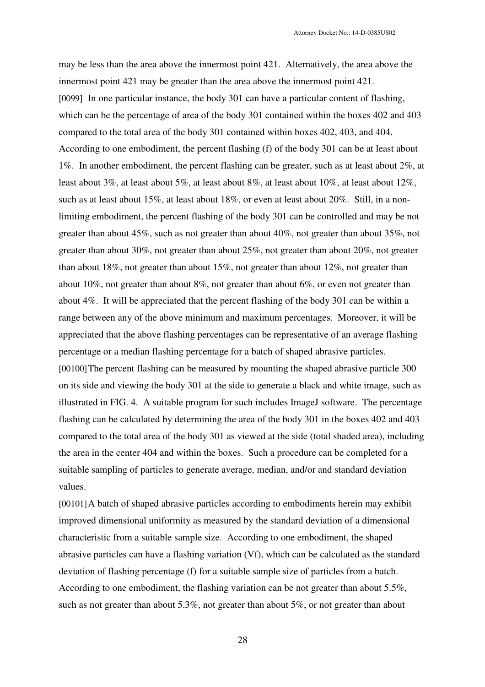may be less than the area above the innermost point 421. Alternatively, the area above the innermost point 421 may be greater than the area above the innermost point 421. [0099] In one particular instance, the body 301 can have a particular content of flashing, which can be the percentage of area of the body 301 contained within the boxes 402 and 403 compared to the total area of the body 301 contained within boxes 402, 403, and 404. According to one embodiment, the percent flashing (f) of the body 301 can be at least about 1%. In another embodiment, the percent flashing can be greater, such as at least about 2%, at least about 3%, at least about 5%, at least about 8%, at least about 10%, at least about 12%, such as at least about 15%, at least about 18%, or even at least about 20%. Still, in a nonlimiting embodiment, the percent flashing of the body 301 can be controlled and may be not greater than about 45%, such as not greater than about 40%, not greater than about 35%, not greater than about 30%, not greater than about 25%, not greater than about 20%, not greater than about 18%, not greater than about 15%, not greater than about 12%, not greater than about 10%, not greater than about 8%, not greater than about 6%, or even not greater than about 4%. It will be appreciated that the percent flashing of the body 301 can be within a range between any of the above minimum and maximum percentages. Moreover, it will be appreciated that the above flashing percentages can be representative of an average flashing percentage or a median flashing percentage for a batch of shaped abrasive particles. [00100] The percent flashing can be measured by mounting the shaped abrasive particle 300 on its side and viewing the body 301 at the side to generate a black and white image, such as illustrated in FIG. 4. A suitable program for such includes ImageJ software. The percentage flashing can be calculated by determining the area of the body 301 in the boxes 402 and 403 compared to the total area of the body 301 as viewed at the side (total shaded area), including the area in the center 404 and within the boxes. Such a procedure can be completed for a suitable sampling of particles to generate average, median, and/or and standard deviation values.

[00101]A batch of shaped abrasive particles according to embodiments herein may exhibit improved dimensional uniformity as measured by the standard deviation of a dimensional characteristic from a suitable sample size. According to one embodiment, the shaped abrasive particles can have a flashing variation (Vf), which can be calculated as the standard deviation of flashing percentage (f) for a suitable sample size of particles from a batch. According to one embodiment, the flashing variation can be not greater than about 5.5%, such as not greater than about 5.3%, not greater than about 5%, or not greater than about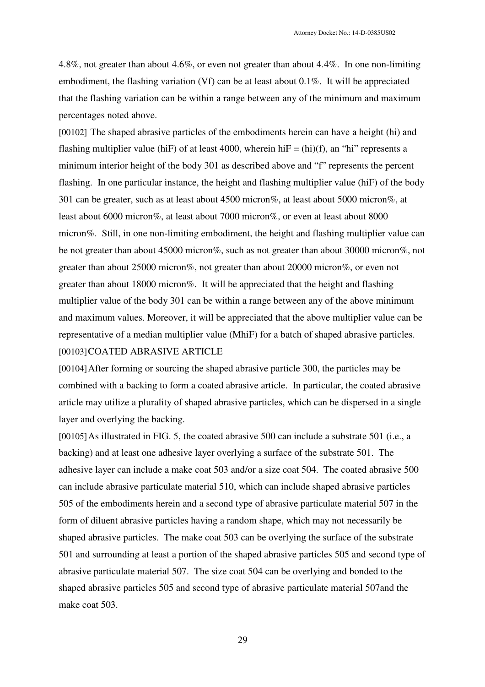4.8%, not greater than about 4.6%, or even not greater than about 4.4%. In one non-limiting embodiment, the flashing variation (Vf) can be at least about 0.1%. It will be appreciated that the flashing variation can be within a range between any of the minimum and maximum percentages noted above.

[00102] The shaped abrasive particles of the embodiments herein can have a height (hi) and flashing multiplier value (hiF) of at least 4000, wherein hiF = (hi)(f), an "hi" represents a minimum interior height of the body 301 as described above and "f" represents the percent flashing. In one particular instance, the height and flashing multiplier value (hiF) of the body 301 can be greater, such as at least about 4500 micron%, at least about 5000 micron%, at least about 6000 micron%, at least about 7000 micron%, or even at least about 8000 micron%. Still, in one non-limiting embodiment, the height and flashing multiplier value can be not greater than about 45000 micron%, such as not greater than about 30000 micron%, not greater than about 25000 micron%, not greater than about 20000 micron%, or even not greater than about 18000 micron%. It will be appreciated that the height and flashing multiplier value of the body 301 can be within a range between any of the above minimum and maximum values. Moreover, it will be appreciated that the above multiplier value can be representative of a median multiplier value (MhiF) for a batch of shaped abrasive particles. [00103]COATED ABRASIVE ARTICLE

[00104]After forming or sourcing the shaped abrasive particle 300, the particles may be combined with a backing to form a coated abrasive article. In particular, the coated abrasive article may utilize a plurality of shaped abrasive particles, which can be dispersed in a single layer and overlying the backing.

[00105] As illustrated in FIG. 5, the coated abrasive 500 can include a substrate 501 (i.e., a backing) and at least one adhesive layer overlying a surface of the substrate 501. The adhesive layer can include a make coat 503 and/or a size coat 504. The coated abrasive 500 can include abrasive particulate material 510, which can include shaped abrasive particles 505 of the embodiments herein and a second type of abrasive particulate material 507 in the form of diluent abrasive particles having a random shape, which may not necessarily be shaped abrasive particles. The make coat 503 can be overlying the surface of the substrate 501 and surrounding at least a portion of the shaped abrasive particles 505 and second type of abrasive particulate material 507. The size coat 504 can be overlying and bonded to the shaped abrasive particles 505 and second type of abrasive particulate material 507and the make coat 503.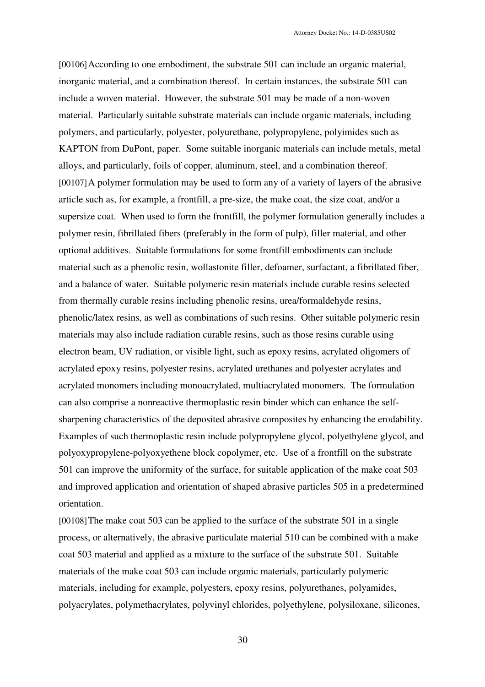[00106]According to one embodiment, the substrate 501 can include an organic material, inorganic material, and a combination thereof. In certain instances, the substrate 501 can include a woven material. However, the substrate 501 may be made of a non-woven material. Particularly suitable substrate materials can include organic materials, including polymers, and particularly, polyester, polyurethane, polypropylene, polyimides such as KAPTON from DuPont, paper. Some suitable inorganic materials can include metals, metal alloys, and particularly, foils of copper, aluminum, steel, and a combination thereof. [00107]A polymer formulation may be used to form any of a variety of layers of the abrasive article such as, for example, a frontfill, a pre-size, the make coat, the size coat, and/or a supersize coat. When used to form the frontfill, the polymer formulation generally includes a polymer resin, fibrillated fibers (preferably in the form of pulp), filler material, and other optional additives. Suitable formulations for some frontfill embodiments can include material such as a phenolic resin, wollastonite filler, defoamer, surfactant, a fibrillated fiber, and a balance of water. Suitable polymeric resin materials include curable resins selected from thermally curable resins including phenolic resins, urea/formaldehyde resins, phenolic/latex resins, as well as combinations of such resins. Other suitable polymeric resin materials may also include radiation curable resins, such as those resins curable using electron beam, UV radiation, or visible light, such as epoxy resins, acrylated oligomers of acrylated epoxy resins, polyester resins, acrylated urethanes and polyester acrylates and acrylated monomers including monoacrylated, multiacrylated monomers. The formulation can also comprise a nonreactive thermoplastic resin binder which can enhance the selfsharpening characteristics of the deposited abrasive composites by enhancing the erodability. Examples of such thermoplastic resin include polypropylene glycol, polyethylene glycol, and polyoxypropylene-polyoxyethene block copolymer, etc. Use of a frontfill on the substrate 501 can improve the uniformity of the surface, for suitable application of the make coat 503 and improved application and orientation of shaped abrasive particles 505 in a predetermined orientation.

[00108]The make coat 503 can be applied to the surface of the substrate 501 in a single process, or alternatively, the abrasive particulate material 510 can be combined with a make coat 503 material and applied as a mixture to the surface of the substrate 501. Suitable materials of the make coat 503 can include organic materials, particularly polymeric materials, including for example, polyesters, epoxy resins, polyurethanes, polyamides, polyacrylates, polymethacrylates, polyvinyl chlorides, polyethylene, polysiloxane, silicones,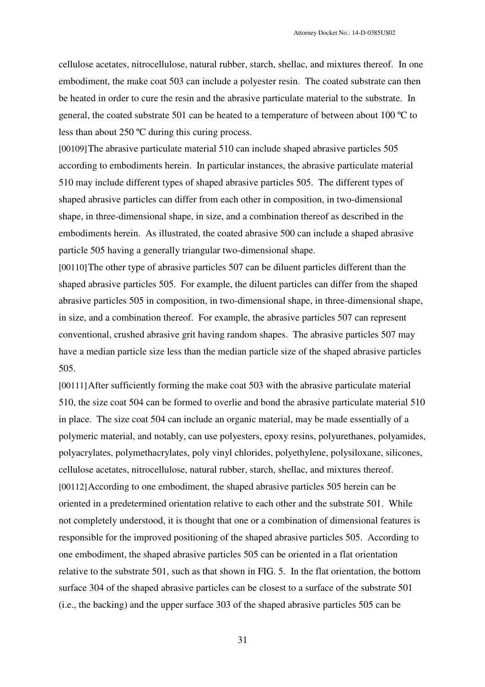cellulose acetates, nitrocellulose, natural rubber, starch, shellac, and mixtures thereof. In one embodiment, the make coat 503 can include a polyester resin. The coated substrate can then be heated in order to cure the resin and the abrasive particulate material to the substrate. In general, the coated substrate 501 can be heated to a temperature of between about 100 ºC to less than about 250 ºC during this curing process.

[00109]The abrasive particulate material 510 can include shaped abrasive particles 505 according to embodiments herein. In particular instances, the abrasive particulate material 510 may include different types of shaped abrasive particles 505. The different types of shaped abrasive particles can differ from each other in composition, in two-dimensional shape, in three-dimensional shape, in size, and a combination thereof as described in the embodiments herein. As illustrated, the coated abrasive 500 can include a shaped abrasive particle 505 having a generally triangular two-dimensional shape.

[00110]The other type of abrasive particles 507 can be diluent particles different than the shaped abrasive particles 505. For example, the diluent particles can differ from the shaped abrasive particles 505 in composition, in two-dimensional shape, in three-dimensional shape, in size, and a combination thereof. For example, the abrasive particles 507 can represent conventional, crushed abrasive grit having random shapes. The abrasive particles 507 may have a median particle size less than the median particle size of the shaped abrasive particles 505.

[00111]After sufficiently forming the make coat 503 with the abrasive particulate material 510, the size coat 504 can be formed to overlie and bond the abrasive particulate material 510 in place. The size coat 504 can include an organic material, may be made essentially of a polymeric material, and notably, can use polyesters, epoxy resins, polyurethanes, polyamides, polyacrylates, polymethacrylates, poly vinyl chlorides, polyethylene, polysiloxane, silicones, cellulose acetates, nitrocellulose, natural rubber, starch, shellac, and mixtures thereof. [00112]According to one embodiment, the shaped abrasive particles 505 herein can be oriented in a predetermined orientation relative to each other and the substrate 501. While not completely understood, it is thought that one or a combination of dimensional features is responsible for the improved positioning of the shaped abrasive particles 505. According to one embodiment, the shaped abrasive particles 505 can be oriented in a flat orientation relative to the substrate 501, such as that shown in FIG. 5. In the flat orientation, the bottom surface 304 of the shaped abrasive particles can be closest to a surface of the substrate 501 (i.e., the backing) and the upper surface 303 of the shaped abrasive particles 505 can be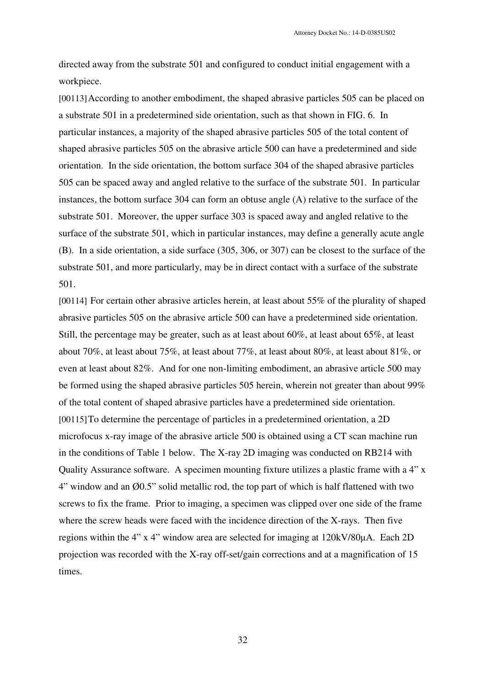directed away from the substrate 501 and configured to conduct initial engagement with a workpiece.

[00113]According to another embodiment, the shaped abrasive particles 505 can be placed on a substrate 501 in a predetermined side orientation, such as that shown in FIG. 6. In particular instances, a majority of the shaped abrasive particles 505 of the total content of shaped abrasive particles 505 on the abrasive article 500 can have a predetermined and side orientation. In the side orientation, the bottom surface 304 of the shaped abrasive particles 505 can be spaced away and angled relative to the surface of the substrate 501. In particular instances, the bottom surface 304 can form an obtuse angle (A) relative to the surface of the substrate 501. Moreover, the upper surface 303 is spaced away and angled relative to the surface of the substrate 501, which in particular instances, may define a generally acute angle (B). In a side orientation, a side surface (305, 306, or 307) can be closest to the surface of the substrate 501, and more particularly, may be in direct contact with a surface of the substrate 501.

[00114] For certain other abrasive articles herein, at least about 55% of the plurality of shaped abrasive particles 505 on the abrasive article 500 can have a predetermined side orientation. Still, the percentage may be greater, such as at least about 60%, at least about 65%, at least about 70%, at least about 75%, at least about 77%, at least about 80%, at least about 81%, or even at least about 82%. And for one non-limiting embodiment, an abrasive article 500 may be formed using the shaped abrasive particles 505 herein, wherein not greater than about 99% of the total content of shaped abrasive particles have a predetermined side orientation. [00115]To determine the percentage of particles in a predetermined orientation, a 2D microfocus x-ray image of the abrasive article 500 is obtained using a CT scan machine run in the conditions of Table 1 below. The X-ray 2D imaging was conducted on RB214 with Quality Assurance software. A specimen mounting fixture utilizes a plastic frame with a 4" x 4" window and an Ø0.5" solid metallic rod, the top part of which is half flattened with two screws to fix the frame. Prior to imaging, a specimen was clipped over one side of the frame where the screw heads were faced with the incidence direction of the X-rays. Then five regions within the 4" x 4" window area are selected for imaging at 120kV/80µA. Each 2D projection was recorded with the X-ray off-set/gain corrections and at a magnification of 15 times.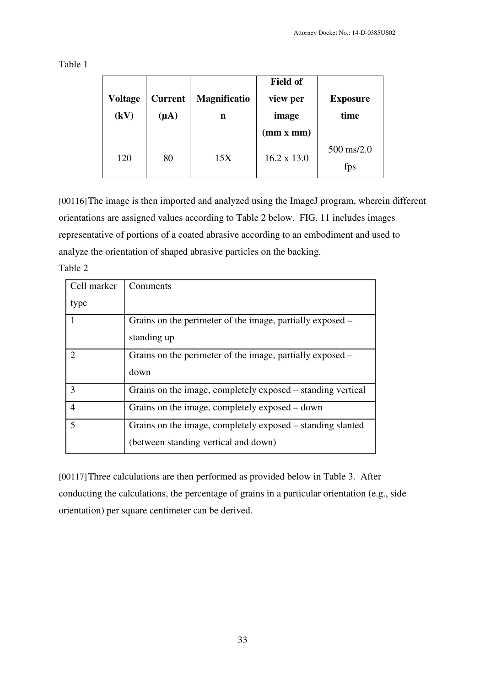Table 1

| <b>Voltage</b><br>(kV) | <b>Current</b><br>$(\mu A)$ | <b>Magnificatio</b><br>n | <b>Field of</b><br>view per<br>image<br>(mm x mm) | <b>Exposure</b><br>time |
|------------------------|-----------------------------|--------------------------|---------------------------------------------------|-------------------------|
| 120                    | 80                          | 15X                      | $16.2 \times 13.0$                                | $500$ ms/2.0<br>fps     |

[00116]The image is then imported and analyzed using the ImageJ program, wherein different orientations are assigned values according to Table 2 below. FIG. 11 includes images representative of portions of a coated abrasive according to an embodiment and used to analyze the orientation of shaped abrasive particles on the backing.

Table 2

| Cell marker    | Comments                                                    |
|----------------|-------------------------------------------------------------|
| type           |                                                             |
|                | Grains on the perimeter of the image, partially exposed –   |
|                | standing up                                                 |
| $\mathcal{D}$  | Grains on the perimeter of the image, partially exposed –   |
|                | down                                                        |
| 3              | Grains on the image, completely exposed – standing vertical |
| 4              | Grains on the image, completely exposed – down              |
| $\overline{5}$ | Grains on the image, completely exposed – standing slanted  |
|                | (between standing vertical and down)                        |

[00117] Three calculations are then performed as provided below in Table 3. After conducting the calculations, the percentage of grains in a particular orientation (e.g., side orientation) per square centimeter can be derived.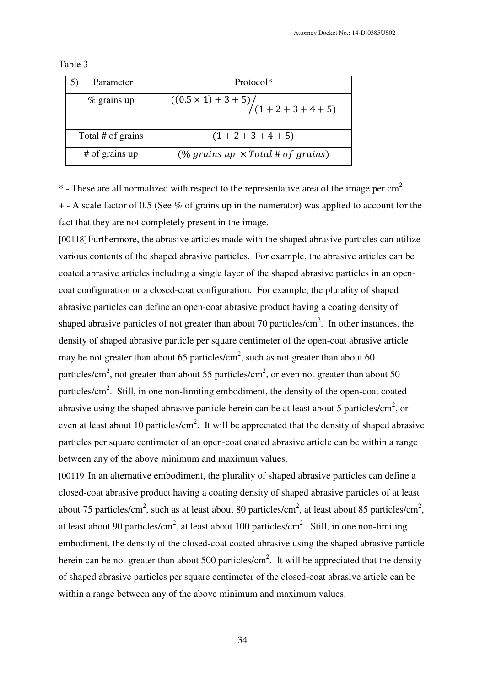| Parameter         | Protocol*                                            |
|-------------------|------------------------------------------------------|
| $%$ grains up     | $\frac{(0.5 \times 1) + 3 + 5}{(1 + 2 + 3 + 4 + 5)}$ |
| Total # of grains | $(1 + 2 + 3 + 4 + 5)$                                |
| # of grains up    | (% grains up $\times$ Total # of grains)             |

Table 3

 $*$  - These are all normalized with respect to the representative area of the image per cm<sup>2</sup>. + - A scale factor of 0.5 (See % of grains up in the numerator) was applied to account for the fact that they are not completely present in the image.

[00118]Furthermore, the abrasive articles made with the shaped abrasive particles can utilize various contents of the shaped abrasive particles. For example, the abrasive articles can be coated abrasive articles including a single layer of the shaped abrasive particles in an opencoat configuration or a closed-coat configuration. For example, the plurality of shaped abrasive particles can define an open-coat abrasive product having a coating density of shaped abrasive particles of not greater than about 70 particles/ $\text{cm}^2$ . In other instances, the density of shaped abrasive particle per square centimeter of the open-coat abrasive article may be not greater than about 65 particles/cm<sup>2</sup>, such as not greater than about 60 particles/cm<sup>2</sup>, not greater than about 55 particles/cm<sup>2</sup>, or even not greater than about 50 particles/cm<sup>2</sup>. Still, in one non-limiting embodiment, the density of the open-coat coated abrasive using the shaped abrasive particle herein can be at least about 5 particles/ $\text{cm}^2$ , or even at least about 10 particles/cm<sup>2</sup>. It will be appreciated that the density of shaped abrasive particles per square centimeter of an open-coat coated abrasive article can be within a range between any of the above minimum and maximum values.

[00119]In an alternative embodiment, the plurality of shaped abrasive particles can define a closed-coat abrasive product having a coating density of shaped abrasive particles of at least about 75 particles/cm<sup>2</sup>, such as at least about 80 particles/cm<sup>2</sup>, at least about 85 particles/cm<sup>2</sup>, at least about 90 particles/cm<sup>2</sup>, at least about 100 particles/cm<sup>2</sup>. Still, in one non-limiting embodiment, the density of the closed-coat coated abrasive using the shaped abrasive particle herein can be not greater than about 500 particles/cm<sup>2</sup>. It will be appreciated that the density of shaped abrasive particles per square centimeter of the closed-coat abrasive article can be within a range between any of the above minimum and maximum values.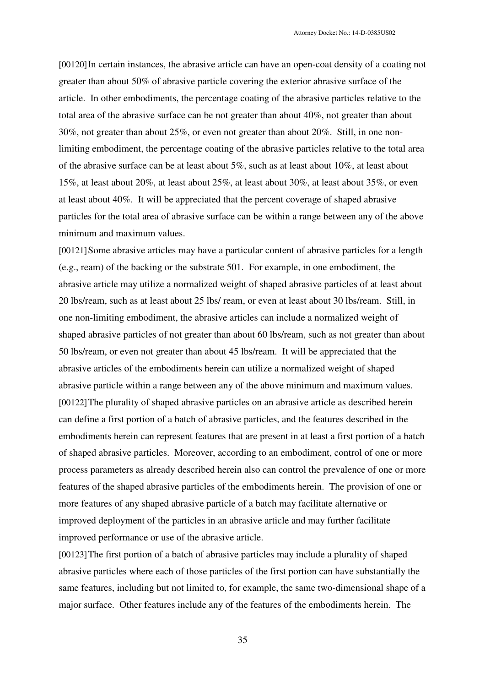[00120]In certain instances, the abrasive article can have an open-coat density of a coating not greater than about 50% of abrasive particle covering the exterior abrasive surface of the article. In other embodiments, the percentage coating of the abrasive particles relative to the total area of the abrasive surface can be not greater than about 40%, not greater than about 30%, not greater than about 25%, or even not greater than about 20%. Still, in one nonlimiting embodiment, the percentage coating of the abrasive particles relative to the total area of the abrasive surface can be at least about 5%, such as at least about 10%, at least about 15%, at least about 20%, at least about 25%, at least about 30%, at least about 35%, or even at least about 40%. It will be appreciated that the percent coverage of shaped abrasive particles for the total area of abrasive surface can be within a range between any of the above minimum and maximum values.

[00121]Some abrasive articles may have a particular content of abrasive particles for a length (e.g., ream) of the backing or the substrate 501. For example, in one embodiment, the abrasive article may utilize a normalized weight of shaped abrasive particles of at least about 20 lbs/ream, such as at least about 25 lbs/ ream, or even at least about 30 lbs/ream. Still, in one non-limiting embodiment, the abrasive articles can include a normalized weight of shaped abrasive particles of not greater than about 60 lbs/ream, such as not greater than about 50 lbs/ream, or even not greater than about 45 lbs/ream. It will be appreciated that the abrasive articles of the embodiments herein can utilize a normalized weight of shaped abrasive particle within a range between any of the above minimum and maximum values. [00122]The plurality of shaped abrasive particles on an abrasive article as described herein can define a first portion of a batch of abrasive particles, and the features described in the embodiments herein can represent features that are present in at least a first portion of a batch of shaped abrasive particles. Moreover, according to an embodiment, control of one or more process parameters as already described herein also can control the prevalence of one or more features of the shaped abrasive particles of the embodiments herein. The provision of one or more features of any shaped abrasive particle of a batch may facilitate alternative or improved deployment of the particles in an abrasive article and may further facilitate improved performance or use of the abrasive article.

[00123]The first portion of a batch of abrasive particles may include a plurality of shaped abrasive particles where each of those particles of the first portion can have substantially the same features, including but not limited to, for example, the same two-dimensional shape of a major surface. Other features include any of the features of the embodiments herein. The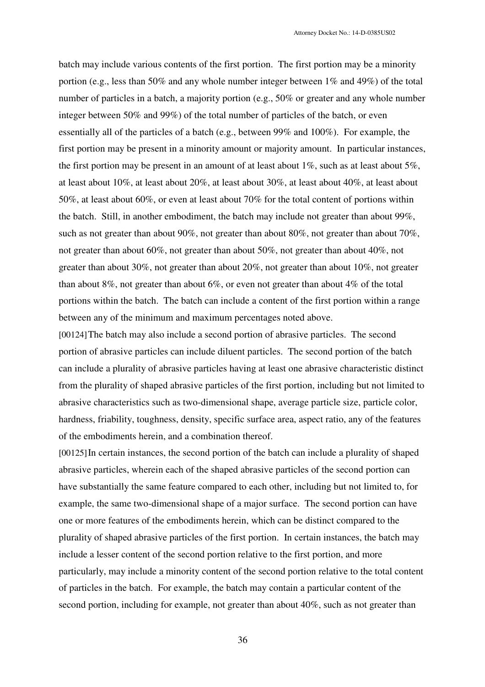batch may include various contents of the first portion. The first portion may be a minority portion (e.g., less than 50% and any whole number integer between 1% and 49%) of the total number of particles in a batch, a majority portion (e.g., 50% or greater and any whole number integer between 50% and 99%) of the total number of particles of the batch, or even essentially all of the particles of a batch (e.g., between 99% and 100%). For example, the first portion may be present in a minority amount or majority amount. In particular instances, the first portion may be present in an amount of at least about 1%, such as at least about 5%, at least about 10%, at least about 20%, at least about 30%, at least about 40%, at least about 50%, at least about 60%, or even at least about 70% for the total content of portions within the batch. Still, in another embodiment, the batch may include not greater than about 99%, such as not greater than about 90%, not greater than about 80%, not greater than about 70%, not greater than about 60%, not greater than about 50%, not greater than about 40%, not greater than about 30%, not greater than about 20%, not greater than about 10%, not greater than about 8%, not greater than about 6%, or even not greater than about 4% of the total portions within the batch. The batch can include a content of the first portion within a range between any of the minimum and maximum percentages noted above.

[00124]The batch may also include a second portion of abrasive particles. The second portion of abrasive particles can include diluent particles. The second portion of the batch can include a plurality of abrasive particles having at least one abrasive characteristic distinct from the plurality of shaped abrasive particles of the first portion, including but not limited to abrasive characteristics such as two-dimensional shape, average particle size, particle color, hardness, friability, toughness, density, specific surface area, aspect ratio, any of the features of the embodiments herein, and a combination thereof.

[00125]In certain instances, the second portion of the batch can include a plurality of shaped abrasive particles, wherein each of the shaped abrasive particles of the second portion can have substantially the same feature compared to each other, including but not limited to, for example, the same two-dimensional shape of a major surface. The second portion can have one or more features of the embodiments herein, which can be distinct compared to the plurality of shaped abrasive particles of the first portion. In certain instances, the batch may include a lesser content of the second portion relative to the first portion, and more particularly, may include a minority content of the second portion relative to the total content of particles in the batch. For example, the batch may contain a particular content of the second portion, including for example, not greater than about 40%, such as not greater than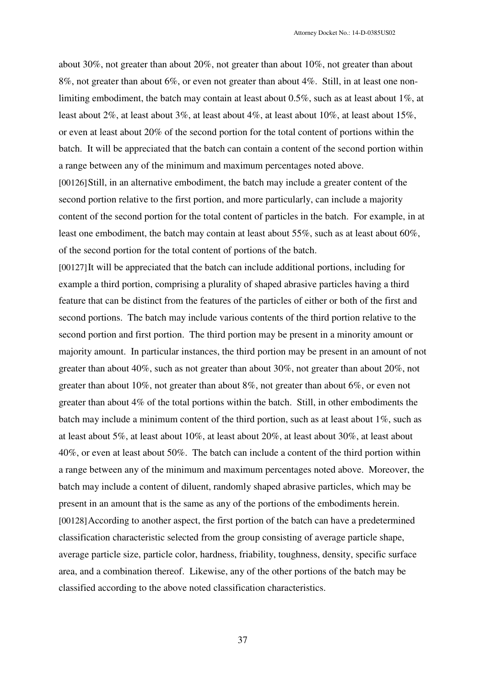about 30%, not greater than about 20%, not greater than about 10%, not greater than about 8%, not greater than about 6%, or even not greater than about 4%. Still, in at least one nonlimiting embodiment, the batch may contain at least about 0.5%, such as at least about 1%, at least about 2%, at least about 3%, at least about 4%, at least about 10%, at least about 15%, or even at least about 20% of the second portion for the total content of portions within the batch. It will be appreciated that the batch can contain a content of the second portion within a range between any of the minimum and maximum percentages noted above. [00126]Still, in an alternative embodiment, the batch may include a greater content of the second portion relative to the first portion, and more particularly, can include a majority content of the second portion for the total content of particles in the batch. For example, in at least one embodiment, the batch may contain at least about 55%, such as at least about 60%, of the second portion for the total content of portions of the batch.

[00127]It will be appreciated that the batch can include additional portions, including for example a third portion, comprising a plurality of shaped abrasive particles having a third feature that can be distinct from the features of the particles of either or both of the first and second portions. The batch may include various contents of the third portion relative to the second portion and first portion. The third portion may be present in a minority amount or majority amount. In particular instances, the third portion may be present in an amount of not greater than about 40%, such as not greater than about 30%, not greater than about 20%, not greater than about 10%, not greater than about 8%, not greater than about 6%, or even not greater than about 4% of the total portions within the batch. Still, in other embodiments the batch may include a minimum content of the third portion, such as at least about 1%, such as at least about 5%, at least about 10%, at least about 20%, at least about 30%, at least about 40%, or even at least about 50%. The batch can include a content of the third portion within a range between any of the minimum and maximum percentages noted above. Moreover, the batch may include a content of diluent, randomly shaped abrasive particles, which may be present in an amount that is the same as any of the portions of the embodiments herein. [00128]According to another aspect, the first portion of the batch can have a predetermined classification characteristic selected from the group consisting of average particle shape, average particle size, particle color, hardness, friability, toughness, density, specific surface area, and a combination thereof. Likewise, any of the other portions of the batch may be classified according to the above noted classification characteristics.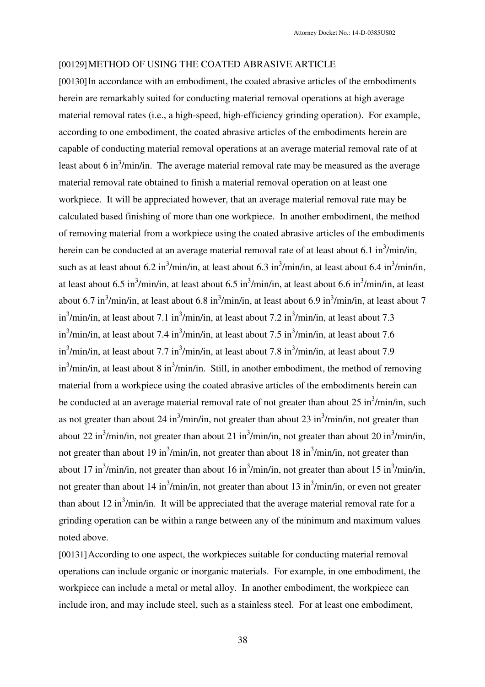#### [00129]METHOD OF USING THE COATED ABRASIVE ARTICLE

[00130] In accordance with an embodiment, the coated abrasive articles of the embodiments herein are remarkably suited for conducting material removal operations at high average material removal rates (i.e., a high-speed, high-efficiency grinding operation). For example, according to one embodiment, the coated abrasive articles of the embodiments herein are capable of conducting material removal operations at an average material removal rate of at least about 6 in<sup>3</sup>/min/in. The average material removal rate may be measured as the average material removal rate obtained to finish a material removal operation on at least one workpiece. It will be appreciated however, that an average material removal rate may be calculated based finishing of more than one workpiece. In another embodiment, the method of removing material from a workpiece using the coated abrasive articles of the embodiments herein can be conducted at an average material removal rate of at least about 6.1 in $\frac{3}{min/in}$ , such as at least about 6.2 in<sup>3</sup>/min/in, at least about 6.3 in<sup>3</sup>/min/in, at least about 6.4 in<sup>3</sup>/min/in, at least about 6.5 in<sup>3</sup>/min/in, at least about 6.5 in<sup>3</sup>/min/in, at least about 6.6 in<sup>3</sup>/min/in, at least about 6.7 in<sup>3</sup>/min/in, at least about 6.8 in<sup>3</sup>/min/in, at least about 6.9 in<sup>3</sup>/min/in, at least about 7 in<sup>3</sup>/min/in, at least about 7.1 in<sup>3</sup>/min/in, at least about 7.2 in<sup>3</sup>/min/in, at least about 7.3 in<sup>3</sup>/min/in, at least about 7.4 in<sup>3</sup>/min/in, at least about 7.5 in<sup>3</sup>/min/in, at least about 7.6 in<sup>3</sup>/min/in, at least about 7.7 in<sup>3</sup>/min/in, at least about 7.8 in<sup>3</sup>/min/in, at least about 7.9  $\sin^3$ /min/in, at least about 8 in $^3$ /min/in. Still, in another embodiment, the method of removing material from a workpiece using the coated abrasive articles of the embodiments herein can be conducted at an average material removal rate of not greater than about  $25 \text{ in}^3/\text{min/in}$ , such as not greater than about 24 in<sup>3</sup>/min/in, not greater than about 23 in<sup>3</sup>/min/in, not greater than about 22 in<sup>3</sup>/min/in, not greater than about 21 in<sup>3</sup>/min/in, not greater than about 20 in<sup>3</sup>/min/in, not greater than about 19 in<sup>3</sup>/min/in, not greater than about 18 in<sup>3</sup>/min/in, not greater than about 17 in<sup>3</sup>/min/in, not greater than about 16 in<sup>3</sup>/min/in, not greater than about 15 in<sup>3</sup>/min/in, not greater than about 14 in<sup>3</sup>/min/in, not greater than about 13 in<sup>3</sup>/min/in, or even not greater than about 12 in<sup>3</sup>/min/in. It will be appreciated that the average material removal rate for a grinding operation can be within a range between any of the minimum and maximum values noted above.

[00131]According to one aspect, the workpieces suitable for conducting material removal operations can include organic or inorganic materials. For example, in one embodiment, the workpiece can include a metal or metal alloy. In another embodiment, the workpiece can include iron, and may include steel, such as a stainless steel. For at least one embodiment,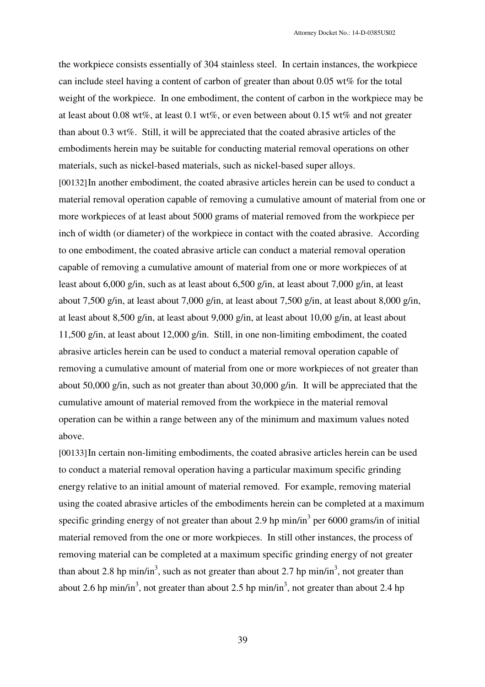the workpiece consists essentially of 304 stainless steel. In certain instances, the workpiece can include steel having a content of carbon of greater than about 0.05 wt% for the total weight of the workpiece. In one embodiment, the content of carbon in the workpiece may be at least about 0.08 wt%, at least 0.1 wt%, or even between about 0.15 wt% and not greater than about 0.3 wt%.Still, it will be appreciated that the coated abrasive articles of the embodiments herein may be suitable for conducting material removal operations on other materials, such as nickel-based materials, such as nickel-based super alloys. [00132]In another embodiment, the coated abrasive articles herein can be used to conduct a material removal operation capable of removing a cumulative amount of material from one or more workpieces of at least about 5000 grams of material removed from the workpiece per inch of width (or diameter) of the workpiece in contact with the coated abrasive. According to one embodiment, the coated abrasive article can conduct a material removal operation capable of removing a cumulative amount of material from one or more workpieces of at least about 6,000 g/in, such as at least about 6,500 g/in, at least about 7,000 g/in, at least about 7,500 g/in, at least about 7,000 g/in, at least about 7,500 g/in, at least about 8,000 g/in, at least about 8,500 g/in, at least about 9,000 g/in, at least about 10,00 g/in, at least about 11,500 g/in, at least about 12,000 g/in. Still, in one non-limiting embodiment, the coated abrasive articles herein can be used to conduct a material removal operation capable of removing a cumulative amount of material from one or more workpieces of not greater than about 50,000 g/in, such as not greater than about 30,000 g/in. It will be appreciated that the cumulative amount of material removed from the workpiece in the material removal operation can be within a range between any of the minimum and maximum values noted above.

[00133]In certain non-limiting embodiments, the coated abrasive articles herein can be used to conduct a material removal operation having a particular maximum specific grinding energy relative to an initial amount of material removed. For example, removing material using the coated abrasive articles of the embodiments herein can be completed at a maximum specific grinding energy of not greater than about 2.9 hp min/in<sup>3</sup> per 6000 grams/in of initial material removed from the one or more workpieces. In still other instances, the process of removing material can be completed at a maximum specific grinding energy of not greater than about 2.8 hp min/in<sup>3</sup>, such as not greater than about 2.7 hp min/in<sup>3</sup>, not greater than about 2.6 hp min/in<sup>3</sup>, not greater than about 2.5 hp min/in<sup>3</sup>, not greater than about 2.4 hp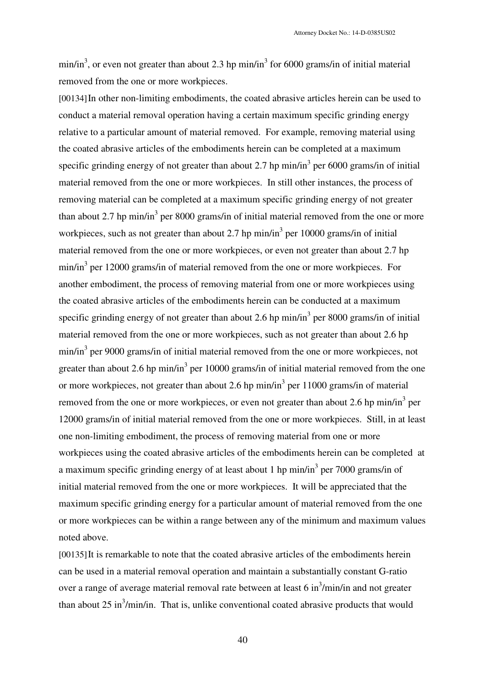min/in<sup>3</sup>, or even not greater than about 2.3 hp min/in<sup>3</sup> for 6000 grams/in of initial material removed from the one or more workpieces.

[00134]In other non-limiting embodiments, the coated abrasive articles herein can be used to conduct a material removal operation having a certain maximum specific grinding energy relative to a particular amount of material removed. For example, removing material using the coated abrasive articles of the embodiments herein can be completed at a maximum specific grinding energy of not greater than about 2.7 hp  $min/in<sup>3</sup>$  per 6000 grams/in of initial material removed from the one or more workpieces. In still other instances, the process of removing material can be completed at a maximum specific grinding energy of not greater than about 2.7 hp min/in<sup>3</sup> per 8000 grams/in of initial material removed from the one or more workpieces, such as not greater than about 2.7 hp  $min/in<sup>3</sup>$  per 10000 grams/in of initial material removed from the one or more workpieces, or even not greater than about 2.7 hp  $min/in<sup>3</sup>$  per 12000 grams/in of material removed from the one or more workpieces. For another embodiment, the process of removing material from one or more workpieces using the coated abrasive articles of the embodiments herein can be conducted at a maximum specific grinding energy of not greater than about 2.6 hp  $min/in<sup>3</sup>$  per 8000 grams/in of initial material removed from the one or more workpieces, such as not greater than about 2.6 hp min/in<sup>3</sup> per 9000 grams/in of initial material removed from the one or more workpieces, not greater than about 2.6 hp min/in<sup>3</sup> per 10000 grams/in of initial material removed from the one or more workpieces, not greater than about 2.6 hp min/in<sup>3</sup> per 11000 grams/in of material removed from the one or more workpieces, or even not greater than about 2.6 hp min/in<sup>3</sup> per 12000 grams/in of initial material removed from the one or more workpieces. Still, in at least one non-limiting embodiment, the process of removing material from one or more workpieces using the coated abrasive articles of the embodiments herein can be completed at a maximum specific grinding energy of at least about 1 hp min/in<sup>3</sup> per 7000 grams/in of initial material removed from the one or more workpieces. It will be appreciated that the maximum specific grinding energy for a particular amount of material removed from the one or more workpieces can be within a range between any of the minimum and maximum values noted above.

[00135]It is remarkable to note that the coated abrasive articles of the embodiments herein can be used in a material removal operation and maintain a substantially constant G-ratio over a range of average material removal rate between at least  $6 \text{ in}^3/\text{min/in}$  and not greater than about 25 in<sup>3</sup>/min/in. That is, unlike conventional coated abrasive products that would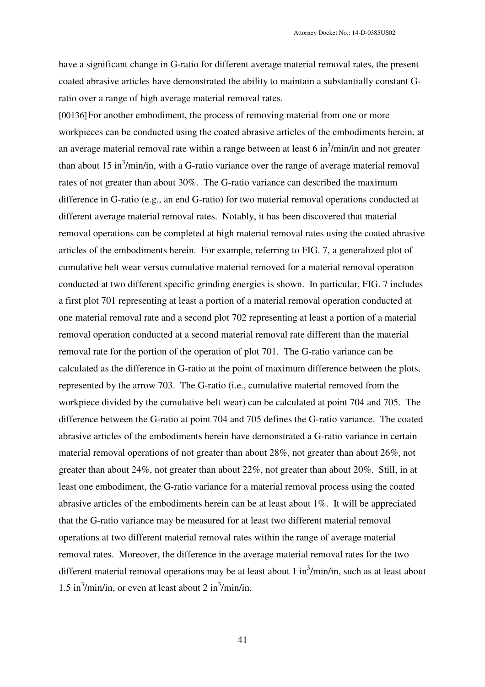have a significant change in G-ratio for different average material removal rates, the present coated abrasive articles have demonstrated the ability to maintain a substantially constant Gratio over a range of high average material removal rates.

[00136] For another embodiment, the process of removing material from one or more workpieces can be conducted using the coated abrasive articles of the embodiments herein, at an average material removal rate within a range between at least  $6 \text{ in}^3/\text{min/in}$  and not greater than about 15 in<sup>3</sup>/min/in, with a G-ratio variance over the range of average material removal rates of not greater than about 30%. The G-ratio variance can described the maximum difference in G-ratio (e.g., an end G-ratio) for two material removal operations conducted at different average material removal rates. Notably, it has been discovered that material removal operations can be completed at high material removal rates using the coated abrasive articles of the embodiments herein. For example, referring to FIG. 7, a generalized plot of cumulative belt wear versus cumulative material removed for a material removal operation conducted at two different specific grinding energies is shown. In particular, FIG. 7 includes a first plot 701 representing at least a portion of a material removal operation conducted at one material removal rate and a second plot 702 representing at least a portion of a material removal operation conducted at a second material removal rate different than the material removal rate for the portion of the operation of plot 701. The G-ratio variance can be calculated as the difference in G-ratio at the point of maximum difference between the plots, represented by the arrow 703. The G-ratio (i.e., cumulative material removed from the workpiece divided by the cumulative belt wear) can be calculated at point 704 and 705. The difference between the G-ratio at point 704 and 705 defines the G-ratio variance. The coated abrasive articles of the embodiments herein have demonstrated a G-ratio variance in certain material removal operations of not greater than about 28%, not greater than about 26%, not greater than about 24%, not greater than about 22%, not greater than about 20%. Still, in at least one embodiment, the G-ratio variance for a material removal process using the coated abrasive articles of the embodiments herein can be at least about 1%. It will be appreciated that the G-ratio variance may be measured for at least two different material removal operations at two different material removal rates within the range of average material removal rates. Moreover, the difference in the average material removal rates for the two different material removal operations may be at least about 1 in<sup>3</sup>/min/in, such as at least about 1.5 in<sup>3</sup>/min/in, or even at least about 2 in<sup>3</sup>/min/in.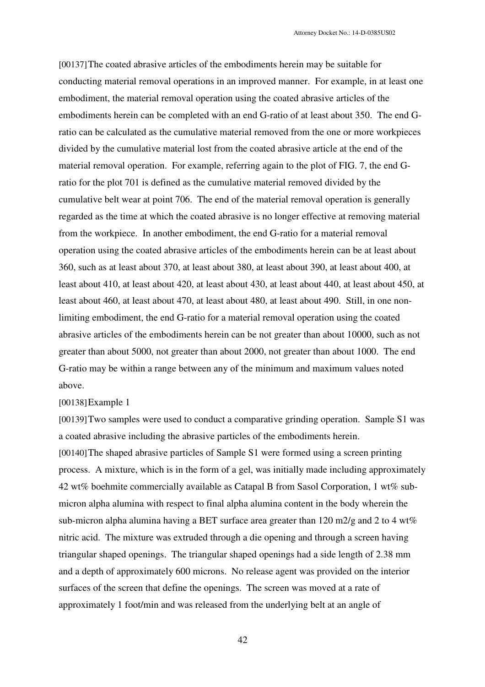[00137]The coated abrasive articles of the embodiments herein may be suitable for conducting material removal operations in an improved manner. For example, in at least one embodiment, the material removal operation using the coated abrasive articles of the embodiments herein can be completed with an end G-ratio of at least about 350. The end Gratio can be calculated as the cumulative material removed from the one or more workpieces divided by the cumulative material lost from the coated abrasive article at the end of the material removal operation. For example, referring again to the plot of FIG. 7, the end Gratio for the plot 701 is defined as the cumulative material removed divided by the cumulative belt wear at point 706. The end of the material removal operation is generally regarded as the time at which the coated abrasive is no longer effective at removing material from the workpiece. In another embodiment, the end G-ratio for a material removal operation using the coated abrasive articles of the embodiments herein can be at least about 360, such as at least about 370, at least about 380, at least about 390, at least about 400, at least about 410, at least about 420, at least about 430, at least about 440, at least about 450, at least about 460, at least about 470, at least about 480, at least about 490. Still, in one nonlimiting embodiment, the end G-ratio for a material removal operation using the coated abrasive articles of the embodiments herein can be not greater than about 10000, such as not greater than about 5000, not greater than about 2000, not greater than about 1000. The end G-ratio may be within a range between any of the minimum and maximum values noted above.

#### [00138] Example 1

[00139]Two samples were used to conduct a comparative grinding operation. Sample S1 was a coated abrasive including the abrasive particles of the embodiments herein. [00140]The shaped abrasive particles of Sample S1 were formed using a screen printing process. A mixture, which is in the form of a gel, was initially made including approximately 42 wt% boehmite commercially available as Catapal B from Sasol Corporation, 1 wt% submicron alpha alumina with respect to final alpha alumina content in the body wherein the sub-micron alpha alumina having a BET surface area greater than  $120 \text{ m}$ 2/g and 2 to 4 wt% nitric acid. The mixture was extruded through a die opening and through a screen having triangular shaped openings. The triangular shaped openings had a side length of 2.38 mm and a depth of approximately 600 microns. No release agent was provided on the interior surfaces of the screen that define the openings. The screen was moved at a rate of approximately 1 foot/min and was released from the underlying belt at an angle of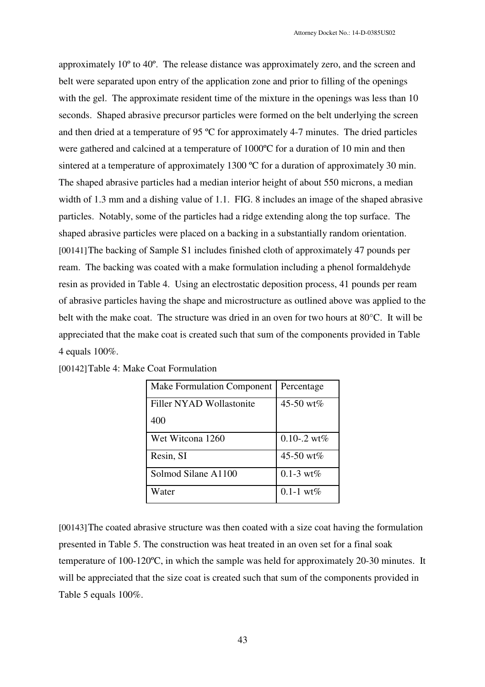approximately 10º to 40º. The release distance was approximately zero, and the screen and belt were separated upon entry of the application zone and prior to filling of the openings with the gel. The approximate resident time of the mixture in the openings was less than 10 seconds. Shaped abrasive precursor particles were formed on the belt underlying the screen and then dried at a temperature of 95 ºC for approximately 4-7 minutes. The dried particles were gathered and calcined at a temperature of 1000ºC for a duration of 10 min and then sintered at a temperature of approximately 1300 °C for a duration of approximately 30 min. The shaped abrasive particles had a median interior height of about 550 microns, a median width of 1.3 mm and a dishing value of 1.1. FIG. 8 includes an image of the shaped abrasive particles. Notably, some of the particles had a ridge extending along the top surface. The shaped abrasive particles were placed on a backing in a substantially random orientation. [00141]The backing of Sample S1 includes finished cloth of approximately 47 pounds per ream. The backing was coated with a make formulation including a phenol formaldehyde resin as provided in Table 4. Using an electrostatic deposition process, 41 pounds per ream of abrasive particles having the shape and microstructure as outlined above was applied to the belt with the make coat. The structure was dried in an oven for two hours at 80°C. It will be appreciated that the make coat is created such that sum of the components provided in Table 4 equals 100%.

| <b>Make Formulation Component</b> | Percentage                |
|-----------------------------------|---------------------------|
| Filler NYAD Wollastonite          | 45-50 wt%                 |
| 400                               |                           |
| Wet Witcona 1260                  | $0.10 - 0.2 \text{ wt\%}$ |
| Resin, SI                         | 45-50 wt%                 |
| Solmod Silane A1100               | $0.1 - 3 \text{ wt}\%$    |
| Water                             | $0.1 - 1$ wt%             |

| [00142] Table 4: Make Coat Formulation |  |
|----------------------------------------|--|
|----------------------------------------|--|

[00143]The coated abrasive structure was then coated with a size coat having the formulation presented in Table 5. The construction was heat treated in an oven set for a final soak temperature of 100-120ºC, in which the sample was held for approximately 20-30 minutes. It will be appreciated that the size coat is created such that sum of the components provided in Table 5 equals 100%.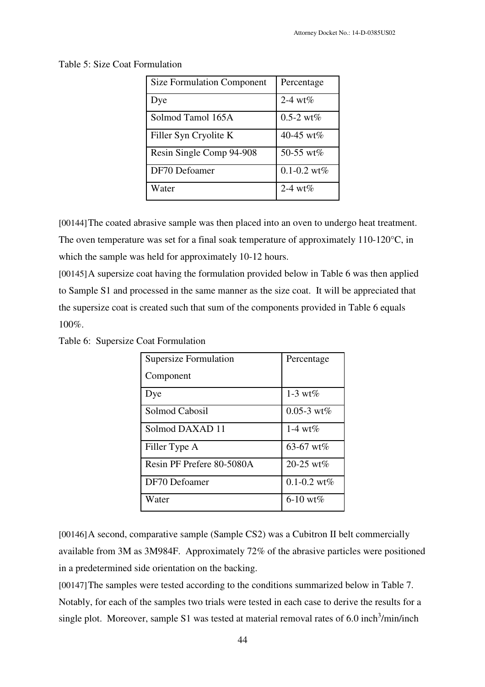| 44 |  |
|----|--|

|  | Table 5: Size Coat Formulation |
|--|--------------------------------|
|--|--------------------------------|

| <b>Size Formulation Component</b> | Percentage             |
|-----------------------------------|------------------------|
| Dye                               | 2-4 wt $%$             |
| Solmod Tamol 165A                 | $0.5 - 2 \text{ wt}\%$ |
| Filler Syn Cryolite K             | 40-45 wt%              |
| Resin Single Comp 94-908          | 50-55 wt $%$           |
| DF70 Defoamer                     | $0.1 - 0.2$ wt%        |
| Water                             | 2-4 wt $%$             |

[00144]The coated abrasive sample was then placed into an oven to undergo heat treatment. The oven temperature was set for a final soak temperature of approximately 110-120°C, in which the sample was held for approximately 10-12 hours.

[00145]A supersize coat having the formulation provided below in Table 6 was then applied to Sample S1 and processed in the same manner as the size coat. It will be appreciated that the supersize coat is created such that sum of the components provided in Table 6 equals 100%.

Table 6: Supersize Coat Formulation

| <b>Supersize Formulation</b> | Percentage              |
|------------------------------|-------------------------|
| Component                    |                         |
| Dye                          | 1-3 wt $%$              |
| Solmod Cabosil               | $0.05 - 3 \text{ wt}\%$ |
| Solmod DAXAD 11              | 1-4 $wt%$               |
| Filler Type A                | 63-67 wt%               |
| Resin PF Prefere 80-5080A    | 20-25 wt%               |
| DF70 Defoamer                | $0.1 - 0.2$ wt%         |
| Water                        | 6-10 wt $%$             |

[00146]A second, comparative sample (Sample CS2) was a Cubitron II belt commercially available from 3M as 3M984F. Approximately 72% of the abrasive particles were positioned in a predetermined side orientation on the backing.

[00147]The samples were tested according to the conditions summarized below in Table 7. Notably, for each of the samples two trials were tested in each case to derive the results for a single plot. Moreover, sample S1 was tested at material removal rates of 6.0 inch<sup>3</sup>/min/inch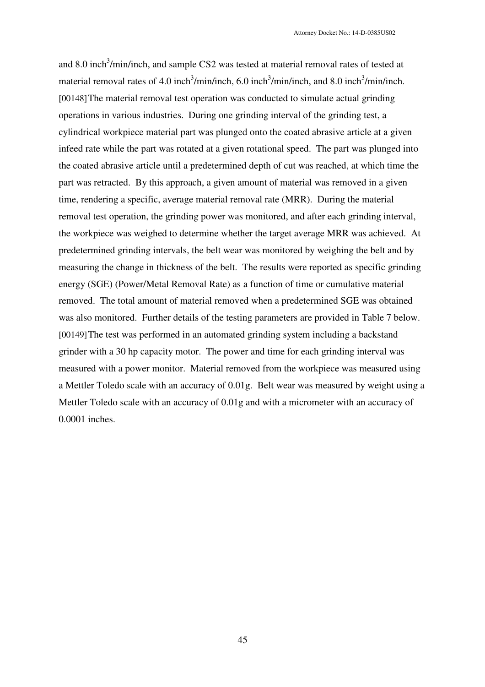and 8.0 inch<sup>3</sup>/min/inch, and sample CS2 was tested at material removal rates of tested at material removal rates of 4.0 inch<sup>3</sup>/min/inch, 6.0 inch<sup>3</sup>/min/inch, and 8.0 inch<sup>3</sup>/min/inch. [00148]The material removal test operation was conducted to simulate actual grinding operations in various industries. During one grinding interval of the grinding test, a cylindrical workpiece material part was plunged onto the coated abrasive article at a given infeed rate while the part was rotated at a given rotational speed. The part was plunged into the coated abrasive article until a predetermined depth of cut was reached, at which time the part was retracted. By this approach, a given amount of material was removed in a given time, rendering a specific, average material removal rate (MRR). During the material removal test operation, the grinding power was monitored, and after each grinding interval, the workpiece was weighed to determine whether the target average MRR was achieved. At predetermined grinding intervals, the belt wear was monitored by weighing the belt and by measuring the change in thickness of the belt. The results were reported as specific grinding energy (SGE) (Power/Metal Removal Rate) as a function of time or cumulative material removed. The total amount of material removed when a predetermined SGE was obtained was also monitored. Further details of the testing parameters are provided in Table 7 below. [00149]The test was performed in an automated grinding system including a backstand grinder with a 30 hp capacity motor. The power and time for each grinding interval was measured with a power monitor. Material removed from the workpiece was measured using a Mettler Toledo scale with an accuracy of 0.01g. Belt wear was measured by weight using a Mettler Toledo scale with an accuracy of 0.01g and with a micrometer with an accuracy of 0.0001 inches.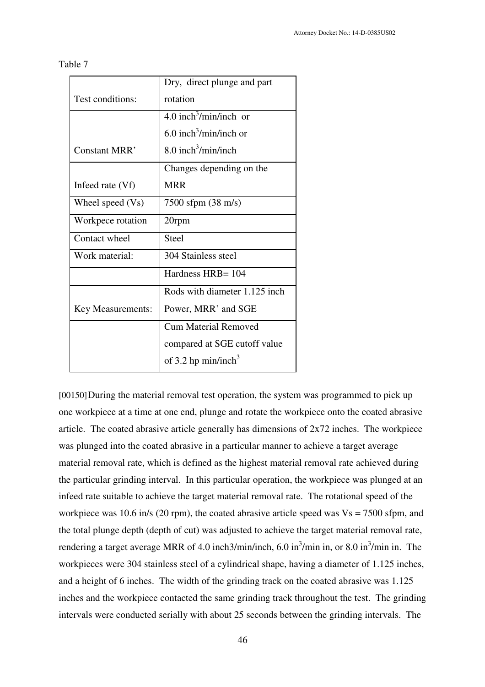| able |
|------|
|------|

| Dry, direct plunge and part          |
|--------------------------------------|
| rotation                             |
| $4.0$ inch <sup>3</sup> /min/inch or |
| 6.0 inch <sup>3</sup> /min/inch or   |
| 8.0 inch <sup>3</sup> /min/inch      |
| Changes depending on the             |
| <b>MRR</b>                           |
| 7500 sfpm (38 m/s)                   |
| 20rpm                                |
| <b>Steel</b>                         |
| 304 Stainless steel                  |
| Hardness HRB= 104                    |
| Rods with diameter 1.125 inch        |
| Power, MRR' and SGE                  |
| <b>Cum Material Removed</b>          |
| compared at SGE cutoff value         |
| of 3.2 hp min/inch <sup>3</sup>      |
|                                      |

[00150]During the material removal test operation, the system was programmed to pick up one workpiece at a time at one end, plunge and rotate the workpiece onto the coated abrasive article. The coated abrasive article generally has dimensions of 2x72 inches. The workpiece was plunged into the coated abrasive in a particular manner to achieve a target average material removal rate, which is defined as the highest material removal rate achieved during the particular grinding interval. In this particular operation, the workpiece was plunged at an infeed rate suitable to achieve the target material removal rate. The rotational speed of the workpiece was 10.6 in/s (20 rpm), the coated abrasive article speed was  $Vs = 7500$  sfpm, and the total plunge depth (depth of cut) was adjusted to achieve the target material removal rate, rendering a target average MRR of 4.0 inch3/min/inch, 6.0 in<sup>3</sup>/min in, or 8.0 in<sup>3</sup>/min in. The workpieces were 304 stainless steel of a cylindrical shape, having a diameter of 1.125 inches, and a height of 6 inches. The width of the grinding track on the coated abrasive was 1.125 inches and the workpiece contacted the same grinding track throughout the test. The grinding intervals were conducted serially with about 25 seconds between the grinding intervals. The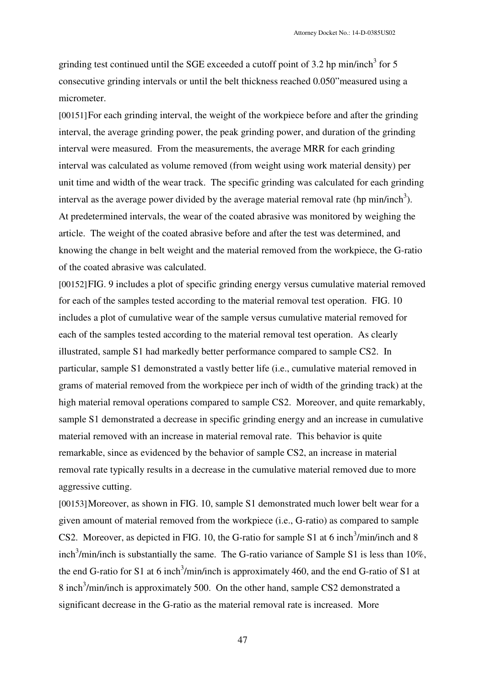grinding test continued until the SGE exceeded a cutoff point of 3.2 hp min/inch<sup>3</sup> for 5 consecutive grinding intervals or until the belt thickness reached 0.050"measured using a micrometer.

[00151]For each grinding interval, the weight of the workpiece before and after the grinding interval, the average grinding power, the peak grinding power, and duration of the grinding interval were measured. From the measurements, the average MRR for each grinding interval was calculated as volume removed (from weight using work material density) per unit time and width of the wear track. The specific grinding was calculated for each grinding interval as the average power divided by the average material removal rate (hp min/inch<sup>3</sup>). At predetermined intervals, the wear of the coated abrasive was monitored by weighing the article. The weight of the coated abrasive before and after the test was determined, and knowing the change in belt weight and the material removed from the workpiece, the G-ratio of the coated abrasive was calculated.

[00152]FIG. 9 includes a plot of specific grinding energy versus cumulative material removed for each of the samples tested according to the material removal test operation. FIG. 10 includes a plot of cumulative wear of the sample versus cumulative material removed for each of the samples tested according to the material removal test operation. As clearly illustrated, sample S1 had markedly better performance compared to sample CS2. In particular, sample S1 demonstrated a vastly better life (i.e., cumulative material removed in grams of material removed from the workpiece per inch of width of the grinding track) at the high material removal operations compared to sample CS2. Moreover, and quite remarkably, sample S1 demonstrated a decrease in specific grinding energy and an increase in cumulative material removed with an increase in material removal rate. This behavior is quite remarkable, since as evidenced by the behavior of sample CS2, an increase in material removal rate typically results in a decrease in the cumulative material removed due to more aggressive cutting.

[00153] Moreover, as shown in FIG. 10, sample S1 demonstrated much lower belt wear for a given amount of material removed from the workpiece (i.e., G-ratio) as compared to sample CS2. Moreover, as depicted in FIG. 10, the G-ratio for sample S1 at 6 inch<sup>3</sup>/min/inch and 8 inch<sup>3</sup>/min/inch is substantially the same. The G-ratio variance of Sample S1 is less than 10%, the end G-ratio for S1 at 6 inch<sup>3</sup>/min/inch is approximately 460, and the end G-ratio of S1 at 8 inch<sup>3</sup>/min/inch is approximately 500. On the other hand, sample CS2 demonstrated a significant decrease in the G-ratio as the material removal rate is increased. More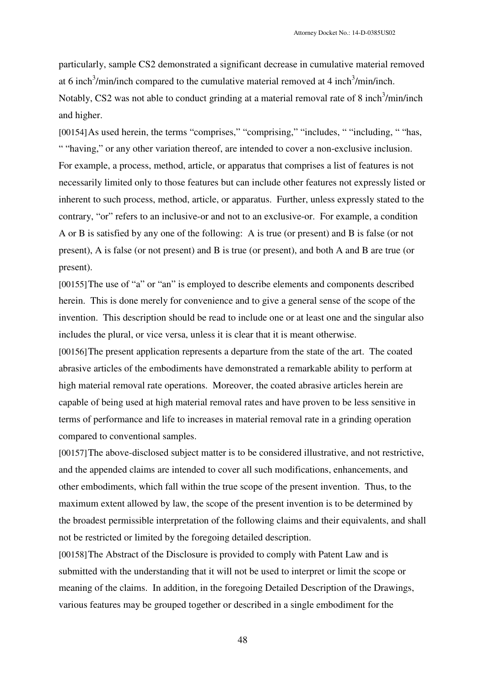particularly, sample CS2 demonstrated a significant decrease in cumulative material removed at 6 inch<sup>3</sup>/min/inch compared to the cumulative material removed at 4 inch<sup>3</sup>/min/inch. Notably, CS2 was not able to conduct grinding at a material removal rate of 8 inch<sup>3</sup>/min/inch and higher.

[00154] As used herein, the terms "comprises," "comprising," "includes, " "including, " "has, " "having," or any other variation thereof, are intended to cover a non-exclusive inclusion. For example, a process, method, article, or apparatus that comprises a list of features is not necessarily limited only to those features but can include other features not expressly listed or inherent to such process, method, article, or apparatus. Further, unless expressly stated to the contrary, "or" refers to an inclusive-or and not to an exclusive-or. For example, a condition A or B is satisfied by any one of the following: A is true (or present) and B is false (or not present), A is false (or not present) and B is true (or present), and both A and B are true (or present).

[00155]The use of "a" or "an" is employed to describe elements and components described herein. This is done merely for convenience and to give a general sense of the scope of the invention. This description should be read to include one or at least one and the singular also includes the plural, or vice versa, unless it is clear that it is meant otherwise.

[00156]The present application represents a departure from the state of the art. The coated abrasive articles of the embodiments have demonstrated a remarkable ability to perform at high material removal rate operations. Moreover, the coated abrasive articles herein are capable of being used at high material removal rates and have proven to be less sensitive in terms of performance and life to increases in material removal rate in a grinding operation compared to conventional samples.

[00157]The above-disclosed subject matter is to be considered illustrative, and not restrictive, and the appended claims are intended to cover all such modifications, enhancements, and other embodiments, which fall within the true scope of the present invention. Thus, to the maximum extent allowed by law, the scope of the present invention is to be determined by the broadest permissible interpretation of the following claims and their equivalents, and shall not be restricted or limited by the foregoing detailed description.

[00158]The Abstract of the Disclosure is provided to comply with Patent Law and is submitted with the understanding that it will not be used to interpret or limit the scope or meaning of the claims. In addition, in the foregoing Detailed Description of the Drawings, various features may be grouped together or described in a single embodiment for the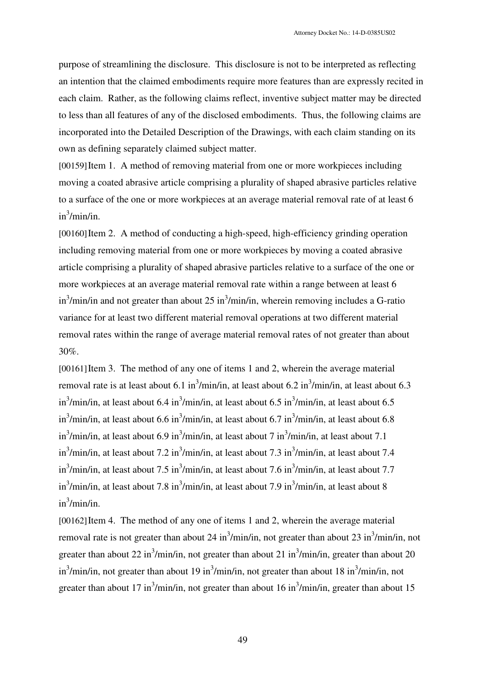purpose of streamlining the disclosure. This disclosure is not to be interpreted as reflecting an intention that the claimed embodiments require more features than are expressly recited in each claim. Rather, as the following claims reflect, inventive subject matter may be directed to less than all features of any of the disclosed embodiments. Thus, the following claims are incorporated into the Detailed Description of the Drawings, with each claim standing on its own as defining separately claimed subject matter.

[00159]Item 1. A method of removing material from one or more workpieces including moving a coated abrasive article comprising a plurality of shaped abrasive particles relative to a surface of the one or more workpieces at an average material removal rate of at least 6 in3 /min/in.

[00160]Item 2. A method of conducting a high-speed, high-efficiency grinding operation including removing material from one or more workpieces by moving a coated abrasive article comprising a plurality of shaped abrasive particles relative to a surface of the one or more workpieces at an average material removal rate within a range between at least 6  $\sin^3$ /min/in and not greater than about 25 in $^3$ /min/in, wherein removing includes a G-ratio variance for at least two different material removal operations at two different material removal rates within the range of average material removal rates of not greater than about 30%.

[00161]Item 3. The method of any one of items 1 and 2, wherein the average material removal rate is at least about 6.1 in<sup>3</sup>/min/in, at least about 6.2 in<sup>3</sup>/min/in, at least about 6.3 in<sup>3</sup>/min/in, at least about 6.4 in<sup>3</sup>/min/in, at least about 6.5 in<sup>3</sup>/min/in, at least about 6.5 in<sup>3</sup>/min/in, at least about 6.6 in<sup>3</sup>/min/in, at least about 6.7 in<sup>3</sup>/min/in, at least about 6.8 in<sup>3</sup>/min/in, at least about 6.9 in<sup>3</sup>/min/in, at least about 7 in<sup>3</sup>/min/in, at least about 7.1 in<sup>3</sup>/min/in, at least about 7.2 in<sup>3</sup>/min/in, at least about 7.3 in<sup>3</sup>/min/in, at least about 7.4 in<sup>3</sup>/min/in, at least about 7.5 in<sup>3</sup>/min/in, at least about 7.6 in<sup>3</sup>/min/in, at least about 7.7 in<sup>3</sup>/min/in, at least about 7.8 in<sup>3</sup>/min/in, at least about 7.9 in<sup>3</sup>/min/in, at least about 8 in3 /min/in.

[00162] Item 4. The method of any one of items 1 and 2, wherein the average material removal rate is not greater than about 24 in<sup>3</sup>/min/in, not greater than about 23 in<sup>3</sup>/min/in, not greater than about 22 in<sup>3</sup>/min/in, not greater than about 21 in<sup>3</sup>/min/in, greater than about 20 in<sup>3</sup>/min/in, not greater than about 19 in<sup>3</sup>/min/in, not greater than about 18 in<sup>3</sup>/min/in, not greater than about 17 in<sup>3</sup>/min/in, not greater than about 16 in<sup>3</sup>/min/in, greater than about 15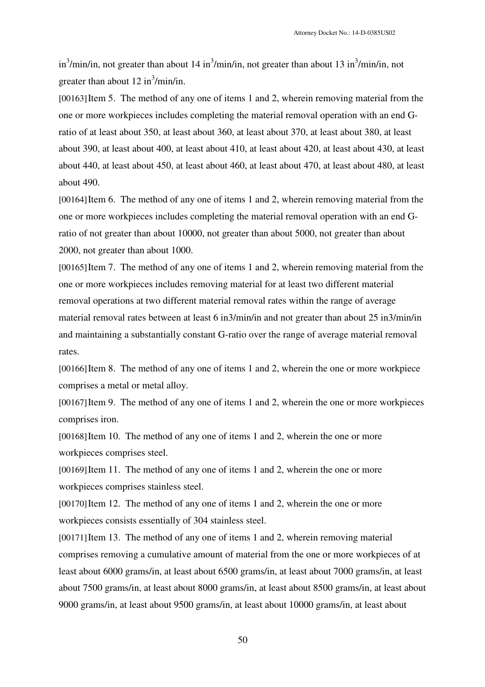in<sup>3</sup>/min/in, not greater than about 14 in<sup>3</sup>/min/in, not greater than about 13 in<sup>3</sup>/min/in, not greater than about  $12 \text{ in}^3/\text{min/in}$ .

[00163] Item 5. The method of any one of items 1 and 2, wherein removing material from the one or more workpieces includes completing the material removal operation with an end Gratio of at least about 350, at least about 360, at least about 370, at least about 380, at least about 390, at least about 400, at least about 410, at least about 420, at least about 430, at least about 440, at least about 450, at least about 460, at least about 470, at least about 480, at least about 490.

[00164]Item 6. The method of any one of items 1 and 2, wherein removing material from the one or more workpieces includes completing the material removal operation with an end Gratio of not greater than about 10000, not greater than about 5000, not greater than about 2000, not greater than about 1000.

[00165] Item 7. The method of any one of items 1 and 2, wherein removing material from the one or more workpieces includes removing material for at least two different material removal operations at two different material removal rates within the range of average material removal rates between at least 6 in3/min/in and not greater than about 25 in3/min/in and maintaining a substantially constant G-ratio over the range of average material removal rates.

[00166]Item 8. The method of any one of items 1 and 2, wherein the one or more workpiece comprises a metal or metal alloy.

[00167] Item 9. The method of any one of items 1 and 2, wherein the one or more workpieces comprises iron.

[00168] Item 10. The method of any one of items 1 and 2, wherein the one or more workpieces comprises steel.

[00169] Item 11. The method of any one of items 1 and 2, wherein the one or more workpieces comprises stainless steel.

[00170] Item 12. The method of any one of items 1 and 2, wherein the one or more workpieces consists essentially of 304 stainless steel.

[00171] Item 13. The method of any one of items 1 and 2, wherein removing material comprises removing a cumulative amount of material from the one or more workpieces of at least about 6000 grams/in, at least about 6500 grams/in, at least about 7000 grams/in, at least about 7500 grams/in, at least about 8000 grams/in, at least about 8500 grams/in, at least about 9000 grams/in, at least about 9500 grams/in, at least about 10000 grams/in, at least about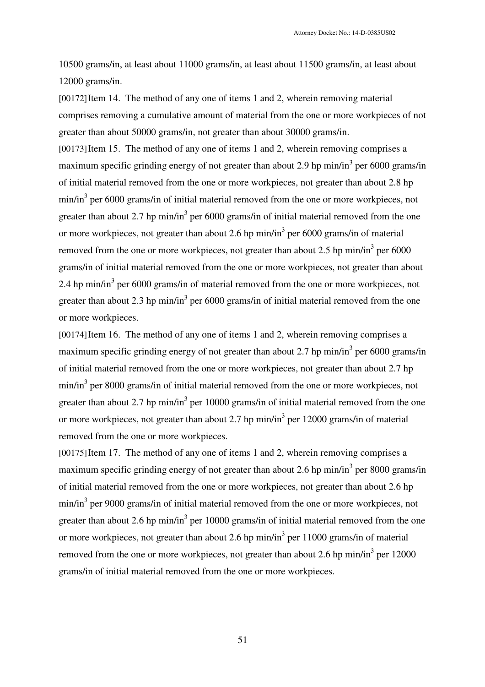10500 grams/in, at least about 11000 grams/in, at least about 11500 grams/in, at least about 12000 grams/in.

[00172]Item 14. The method of any one of items 1 and 2, wherein removing material comprises removing a cumulative amount of material from the one or more workpieces of not greater than about 50000 grams/in, not greater than about 30000 grams/in.

[00173] Item 15. The method of any one of items 1 and 2, wherein removing comprises a maximum specific grinding energy of not greater than about 2.9 hp min/in<sup>3</sup> per 6000 grams/in of initial material removed from the one or more workpieces, not greater than about 2.8 hp min/in<sup>3</sup> per 6000 grams/in of initial material removed from the one or more workpieces, not greater than about 2.7 hp min/in<sup>3</sup> per 6000 grams/in of initial material removed from the one or more workpieces, not greater than about 2.6 hp  $min/in<sup>3</sup>$  per 6000 grams/in of material removed from the one or more workpieces, not greater than about 2.5 hp min/in<sup>3</sup> per 6000 grams/in of initial material removed from the one or more workpieces, not greater than about 2.4 hp min/in<sup>3</sup> per 6000 grams/in of material removed from the one or more workpieces, not greater than about 2.3 hp min/in<sup>3</sup> per 6000 grams/in of initial material removed from the one or more workpieces.

[00174] Item 16. The method of any one of items 1 and 2, wherein removing comprises a maximum specific grinding energy of not greater than about 2.7 hp min/in<sup>3</sup> per 6000 grams/in of initial material removed from the one or more workpieces, not greater than about 2.7 hp min/in<sup>3</sup> per 8000 grams/in of initial material removed from the one or more workpieces, not greater than about 2.7 hp min/in<sup>3</sup> per 10000 grams/in of initial material removed from the one or more workpieces, not greater than about 2.7 hp min/in<sup>3</sup> per 12000 grams/in of material removed from the one or more workpieces.

[00175] Item 17. The method of any one of items 1 and 2, wherein removing comprises a maximum specific grinding energy of not greater than about 2.6 hp min/in<sup>3</sup> per 8000 grams/in of initial material removed from the one or more workpieces, not greater than about 2.6 hp min/in<sup>3</sup> per 9000 grams/in of initial material removed from the one or more workpieces, not greater than about 2.6 hp min/in<sup>3</sup> per 10000 grams/in of initial material removed from the one or more workpieces, not greater than about 2.6 hp min/in<sup>3</sup> per 11000 grams/in of material removed from the one or more workpieces, not greater than about 2.6 hp min/in<sup>3</sup> per 12000 grams/in of initial material removed from the one or more workpieces.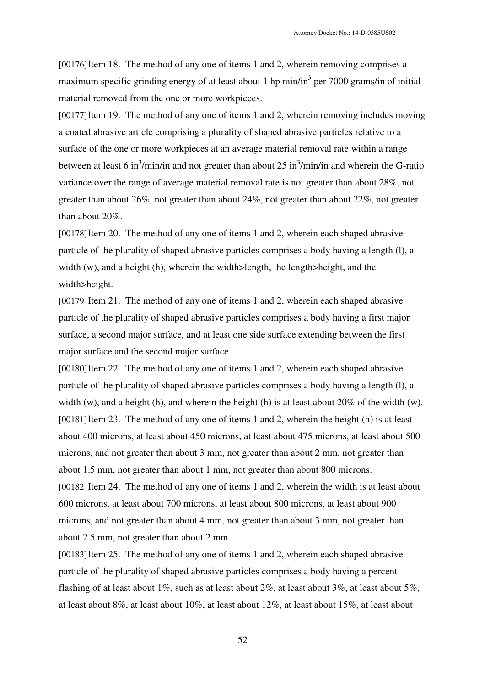[00176]Item 18. The method of any one of items 1 and 2, wherein removing comprises a maximum specific grinding energy of at least about 1 hp min/in<sup>3</sup> per 7000 grams/in of initial material removed from the one or more workpieces.

[00177] Item 19. The method of any one of items 1 and 2, wherein removing includes moving a coated abrasive article comprising a plurality of shaped abrasive particles relative to a surface of the one or more workpieces at an average material removal rate within a range between at least 6 in<sup>3</sup>/min/in and not greater than about 25 in<sup>3</sup>/min/in and wherein the G-ratio variance over the range of average material removal rate is not greater than about 28%, not greater than about 26%, not greater than about 24%, not greater than about 22%, not greater than about 20%.

[00178] Item 20. The method of any one of items 1 and 2, wherein each shaped abrasive particle of the plurality of shaped abrasive particles comprises a body having a length (l), a width (w), and a height (h), wherein the width>length, the length>height, and the width>height.

[00179]Item 21. The method of any one of items 1 and 2, wherein each shaped abrasive particle of the plurality of shaped abrasive particles comprises a body having a first major surface, a second major surface, and at least one side surface extending between the first major surface and the second major surface.

[00180]Item 22. The method of any one of items 1 and 2, wherein each shaped abrasive particle of the plurality of shaped abrasive particles comprises a body having a length (l), a width (w), and a height (h), and wherein the height (h) is at least about  $20\%$  of the width (w). [00181] Item 23. The method of any one of items 1 and 2, wherein the height (h) is at least about 400 microns, at least about 450 microns, at least about 475 microns, at least about 500 microns, and not greater than about 3 mm, not greater than about 2 mm, not greater than about 1.5 mm, not greater than about 1 mm, not greater than about 800 microns. [00182]Item 24. The method of any one of items 1 and 2, wherein the width is at least about 600 microns, at least about 700 microns, at least about 800 microns, at least about 900 microns, and not greater than about 4 mm, not greater than about 3 mm, not greater than about 2.5 mm, not greater than about 2 mm.

[00183] Item 25. The method of any one of items 1 and 2, wherein each shaped abrasive particle of the plurality of shaped abrasive particles comprises a body having a percent flashing of at least about 1%, such as at least about 2%, at least about 3%, at least about 5%, at least about 8%, at least about 10%, at least about 12%, at least about 15%, at least about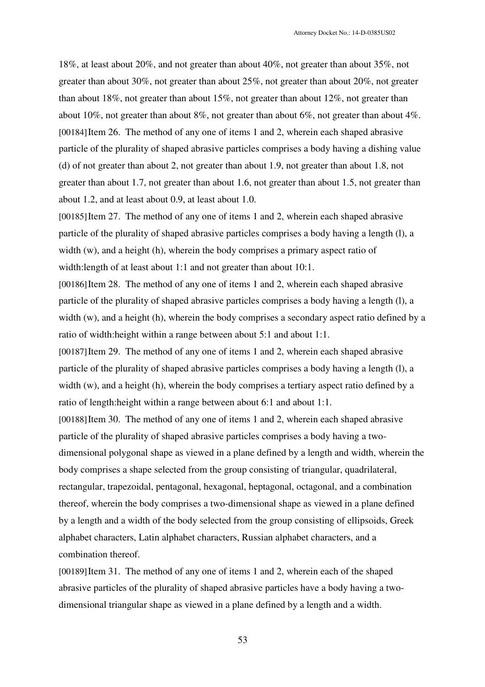18%, at least about 20%, and not greater than about 40%, not greater than about 35%, not greater than about 30%, not greater than about 25%, not greater than about 20%, not greater than about 18%, not greater than about 15%, not greater than about 12%, not greater than about 10%, not greater than about 8%, not greater than about 6%, not greater than about 4%. [00184] Item 26. The method of any one of items 1 and 2, wherein each shaped abrasive particle of the plurality of shaped abrasive particles comprises a body having a dishing value (d) of not greater than about 2, not greater than about 1.9, not greater than about 1.8, not greater than about 1.7, not greater than about 1.6, not greater than about 1.5, not greater than about 1.2, and at least about 0.9, at least about 1.0.

[00185] Item 27. The method of any one of items 1 and 2, wherein each shaped abrasive particle of the plurality of shaped abrasive particles comprises a body having a length (l), a width (w), and a height (h), wherein the body comprises a primary aspect ratio of width: length of at least about 1:1 and not greater than about 10:1.

[00186]Item 28. The method of any one of items 1 and 2, wherein each shaped abrasive particle of the plurality of shaped abrasive particles comprises a body having a length (l), a width (w), and a height (h), wherein the body comprises a secondary aspect ratio defined by a ratio of width:height within a range between about 5:1 and about 1:1.

[00187] Item 29. The method of any one of items 1 and 2, wherein each shaped abrasive particle of the plurality of shaped abrasive particles comprises a body having a length (l), a width (w), and a height (h), wherein the body comprises a tertiary aspect ratio defined by a ratio of length:height within a range between about 6:1 and about 1:1.

[00188]Item 30. The method of any one of items 1 and 2, wherein each shaped abrasive particle of the plurality of shaped abrasive particles comprises a body having a twodimensional polygonal shape as viewed in a plane defined by a length and width, wherein the body comprises a shape selected from the group consisting of triangular, quadrilateral, rectangular, trapezoidal, pentagonal, hexagonal, heptagonal, octagonal, and a combination thereof, wherein the body comprises a two-dimensional shape as viewed in a plane defined by a length and a width of the body selected from the group consisting of ellipsoids, Greek alphabet characters, Latin alphabet characters, Russian alphabet characters, and a combination thereof.

[00189]Item 31. The method of any one of items 1 and 2, wherein each of the shaped abrasive particles of the plurality of shaped abrasive particles have a body having a twodimensional triangular shape as viewed in a plane defined by a length and a width.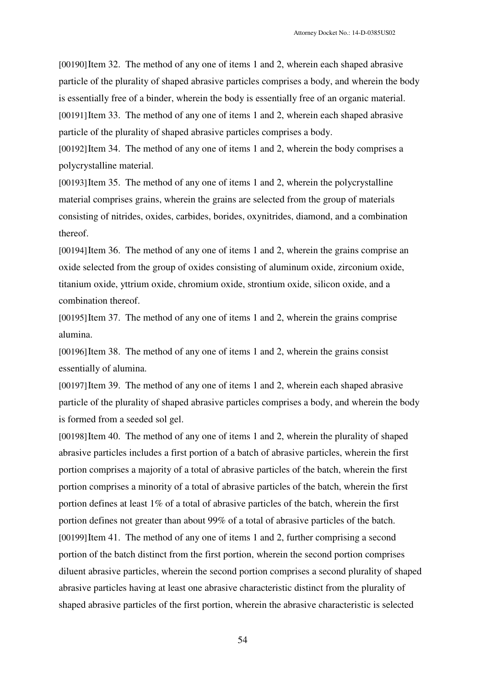[00190]Item 32. The method of any one of items 1 and 2, wherein each shaped abrasive particle of the plurality of shaped abrasive particles comprises a body, and wherein the body is essentially free of a binder, wherein the body is essentially free of an organic material. [00191]Item 33. The method of any one of items 1 and 2, wherein each shaped abrasive particle of the plurality of shaped abrasive particles comprises a body.

[00192]Item 34. The method of any one of items 1 and 2, wherein the body comprises a polycrystalline material.

[00193] Item 35. The method of any one of items 1 and 2, wherein the polycrystalline material comprises grains, wherein the grains are selected from the group of materials consisting of nitrides, oxides, carbides, borides, oxynitrides, diamond, and a combination thereof.

[00194] Item 36. The method of any one of items 1 and 2, wherein the grains comprise an oxide selected from the group of oxides consisting of aluminum oxide, zirconium oxide, titanium oxide, yttrium oxide, chromium oxide, strontium oxide, silicon oxide, and a combination thereof.

[00195]Item 37. The method of any one of items 1 and 2, wherein the grains comprise alumina.

[00196] Item 38. The method of any one of items 1 and 2, wherein the grains consist essentially of alumina.

[00197] Item 39. The method of any one of items 1 and 2, wherein each shaped abrasive particle of the plurality of shaped abrasive particles comprises a body, and wherein the body is formed from a seeded sol gel.

[00198] Item 40. The method of any one of items 1 and 2, wherein the plurality of shaped abrasive particles includes a first portion of a batch of abrasive particles, wherein the first portion comprises a majority of a total of abrasive particles of the batch, wherein the first portion comprises a minority of a total of abrasive particles of the batch, wherein the first portion defines at least 1% of a total of abrasive particles of the batch, wherein the first portion defines not greater than about 99% of a total of abrasive particles of the batch. [00199]Item 41. The method of any one of items 1 and 2, further comprising a second portion of the batch distinct from the first portion, wherein the second portion comprises diluent abrasive particles, wherein the second portion comprises a second plurality of shaped abrasive particles having at least one abrasive characteristic distinct from the plurality of shaped abrasive particles of the first portion, wherein the abrasive characteristic is selected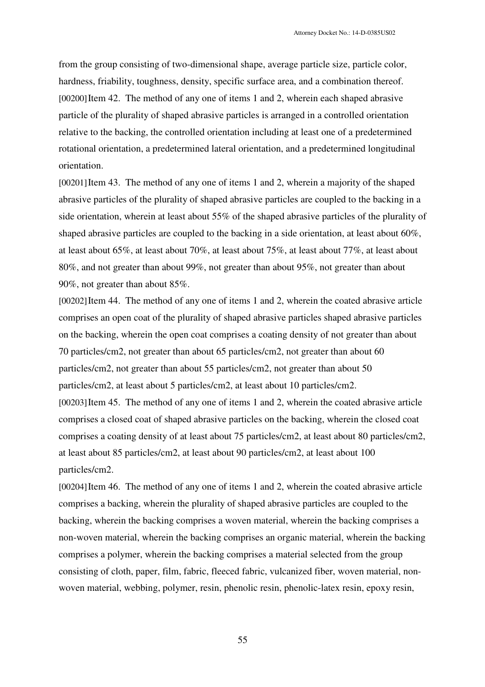from the group consisting of two-dimensional shape, average particle size, particle color, hardness, friability, toughness, density, specific surface area, and a combination thereof. [00200] Item 42. The method of any one of items 1 and 2, wherein each shaped abrasive particle of the plurality of shaped abrasive particles is arranged in a controlled orientation relative to the backing, the controlled orientation including at least one of a predetermined rotational orientation, a predetermined lateral orientation, and a predetermined longitudinal orientation.

[00201] Item 43. The method of any one of items 1 and 2, wherein a majority of the shaped abrasive particles of the plurality of shaped abrasive particles are coupled to the backing in a side orientation, wherein at least about 55% of the shaped abrasive particles of the plurality of shaped abrasive particles are coupled to the backing in a side orientation, at least about 60%, at least about 65%, at least about 70%, at least about 75%, at least about 77%, at least about 80%, and not greater than about 99%, not greater than about 95%, not greater than about 90%, not greater than about 85%.

[00202] Item 44. The method of any one of items 1 and 2, wherein the coated abrasive article comprises an open coat of the plurality of shaped abrasive particles shaped abrasive particles on the backing, wherein the open coat comprises a coating density of not greater than about 70 particles/cm2, not greater than about 65 particles/cm2, not greater than about 60 particles/cm2, not greater than about 55 particles/cm2, not greater than about 50 particles/cm2, at least about 5 particles/cm2, at least about 10 particles/cm2. [00203]Item 45. The method of any one of items 1 and 2, wherein the coated abrasive article comprises a closed coat of shaped abrasive particles on the backing, wherein the closed coat comprises a coating density of at least about 75 particles/cm2, at least about 80 particles/cm2, at least about 85 particles/cm2, at least about 90 particles/cm2, at least about 100 particles/cm2.

[00204] Item 46. The method of any one of items 1 and 2, wherein the coated abrasive article comprises a backing, wherein the plurality of shaped abrasive particles are coupled to the backing, wherein the backing comprises a woven material, wherein the backing comprises a non-woven material, wherein the backing comprises an organic material, wherein the backing comprises a polymer, wherein the backing comprises a material selected from the group consisting of cloth, paper, film, fabric, fleeced fabric, vulcanized fiber, woven material, nonwoven material, webbing, polymer, resin, phenolic resin, phenolic-latex resin, epoxy resin,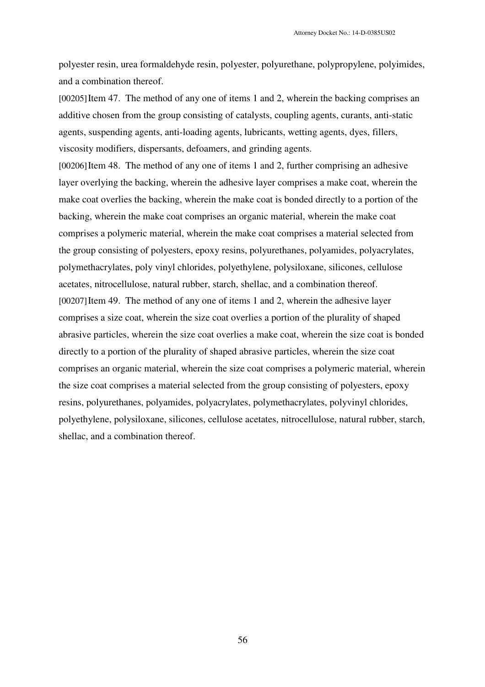polyester resin, urea formaldehyde resin, polyester, polyurethane, polypropylene, polyimides, and a combination thereof.

[00205]Item 47. The method of any one of items 1 and 2, wherein the backing comprises an additive chosen from the group consisting of catalysts, coupling agents, curants, anti-static agents, suspending agents, anti-loading agents, lubricants, wetting agents, dyes, fillers, viscosity modifiers, dispersants, defoamers, and grinding agents.

[00206] Item 48. The method of any one of items 1 and 2, further comprising an adhesive layer overlying the backing, wherein the adhesive layer comprises a make coat, wherein the make coat overlies the backing, wherein the make coat is bonded directly to a portion of the backing, wherein the make coat comprises an organic material, wherein the make coat comprises a polymeric material, wherein the make coat comprises a material selected from the group consisting of polyesters, epoxy resins, polyurethanes, polyamides, polyacrylates, polymethacrylates, poly vinyl chlorides, polyethylene, polysiloxane, silicones, cellulose acetates, nitrocellulose, natural rubber, starch, shellac, and a combination thereof. [00207] Item 49. The method of any one of items 1 and 2, wherein the adhesive layer comprises a size coat, wherein the size coat overlies a portion of the plurality of shaped abrasive particles, wherein the size coat overlies a make coat, wherein the size coat is bonded directly to a portion of the plurality of shaped abrasive particles, wherein the size coat comprises an organic material, wherein the size coat comprises a polymeric material, wherein the size coat comprises a material selected from the group consisting of polyesters, epoxy resins, polyurethanes, polyamides, polyacrylates, polymethacrylates, polyvinyl chlorides, polyethylene, polysiloxane, silicones, cellulose acetates, nitrocellulose, natural rubber, starch, shellac, and a combination thereof.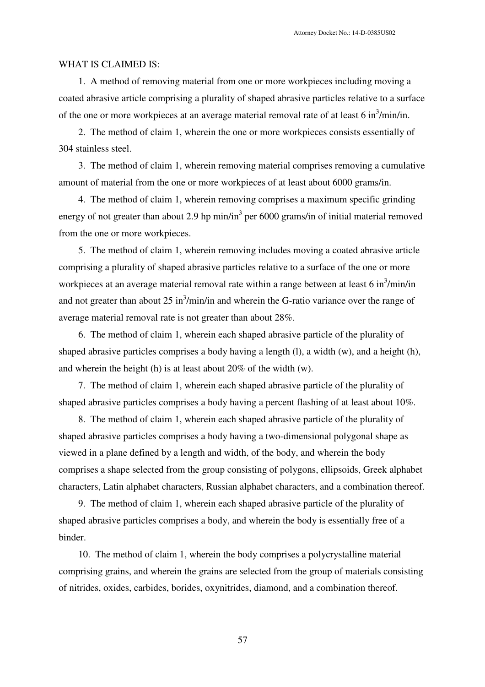#### WHAT IS CLAIMED IS:

1. A method of removing material from one or more workpieces including moving a coated abrasive article comprising a plurality of shaped abrasive particles relative to a surface of the one or more workpieces at an average material removal rate of at least  $6 \text{ in}^3/\text{min/in.}$ 

2. The method of claim 1, wherein the one or more workpieces consists essentially of 304 stainless steel.

3. The method of claim 1, wherein removing material comprises removing a cumulative amount of material from the one or more workpieces of at least about 6000 grams/in.

4. The method of claim 1, wherein removing comprises a maximum specific grinding energy of not greater than about 2.9 hp min/in<sup>3</sup> per 6000 grams/in of initial material removed from the one or more workpieces.

5. The method of claim 1, wherein removing includes moving a coated abrasive article comprising a plurality of shaped abrasive particles relative to a surface of the one or more workpieces at an average material removal rate within a range between at least 6 in $\frac{3}{\text{min/in}}$ and not greater than about  $25 \text{ in}^3/\text{min/in}$  and wherein the G-ratio variance over the range of average material removal rate is not greater than about 28%.

6. The method of claim 1, wherein each shaped abrasive particle of the plurality of shaped abrasive particles comprises a body having a length (l), a width (w), and a height (h), and wherein the height (h) is at least about 20% of the width (w).

7. The method of claim 1, wherein each shaped abrasive particle of the plurality of shaped abrasive particles comprises a body having a percent flashing of at least about 10%.

8. The method of claim 1, wherein each shaped abrasive particle of the plurality of shaped abrasive particles comprises a body having a two-dimensional polygonal shape as viewed in a plane defined by a length and width, of the body, and wherein the body comprises a shape selected from the group consisting of polygons, ellipsoids, Greek alphabet characters, Latin alphabet characters, Russian alphabet characters, and a combination thereof.

9. The method of claim 1, wherein each shaped abrasive particle of the plurality of shaped abrasive particles comprises a body, and wherein the body is essentially free of a binder.

10. The method of claim 1, wherein the body comprises a polycrystalline material comprising grains, and wherein the grains are selected from the group of materials consisting of nitrides, oxides, carbides, borides, oxynitrides, diamond, and a combination thereof.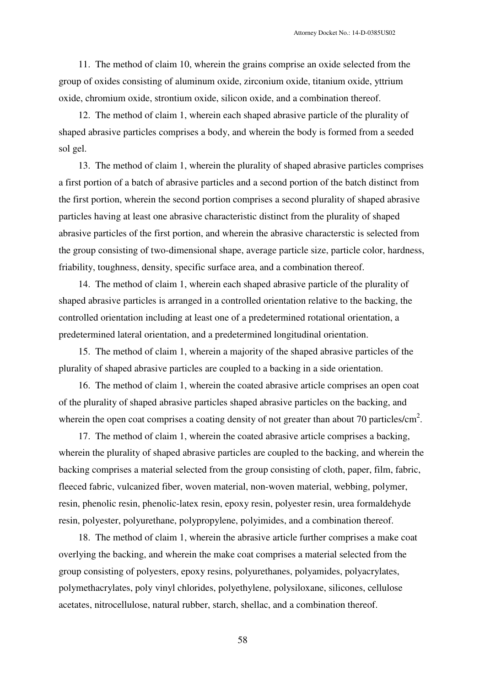11. The method of claim 10, wherein the grains comprise an oxide selected from the group of oxides consisting of aluminum oxide, zirconium oxide, titanium oxide, yttrium oxide, chromium oxide, strontium oxide, silicon oxide, and a combination thereof.

12. The method of claim 1, wherein each shaped abrasive particle of the plurality of shaped abrasive particles comprises a body, and wherein the body is formed from a seeded sol gel.

13. The method of claim 1, wherein the plurality of shaped abrasive particles comprises a first portion of a batch of abrasive particles and a second portion of the batch distinct from the first portion, wherein the second portion comprises a second plurality of shaped abrasive particles having at least one abrasive characteristic distinct from the plurality of shaped abrasive particles of the first portion, and wherein the abrasive characterstic is selected from the group consisting of two-dimensional shape, average particle size, particle color, hardness, friability, toughness, density, specific surface area, and a combination thereof.

14. The method of claim 1, wherein each shaped abrasive particle of the plurality of shaped abrasive particles is arranged in a controlled orientation relative to the backing, the controlled orientation including at least one of a predetermined rotational orientation, a predetermined lateral orientation, and a predetermined longitudinal orientation.

15. The method of claim 1, wherein a majority of the shaped abrasive particles of the plurality of shaped abrasive particles are coupled to a backing in a side orientation.

16. The method of claim 1, wherein the coated abrasive article comprises an open coat of the plurality of shaped abrasive particles shaped abrasive particles on the backing, and wherein the open coat comprises a coating density of not greater than about 70 particles/ $\text{cm}^2$ .

17. The method of claim 1, wherein the coated abrasive article comprises a backing, wherein the plurality of shaped abrasive particles are coupled to the backing, and wherein the backing comprises a material selected from the group consisting of cloth, paper, film, fabric, fleeced fabric, vulcanized fiber, woven material, non-woven material, webbing, polymer, resin, phenolic resin, phenolic-latex resin, epoxy resin, polyester resin, urea formaldehyde resin, polyester, polyurethane, polypropylene, polyimides, and a combination thereof.

18. The method of claim 1, wherein the abrasive article further comprises a make coat overlying the backing, and wherein the make coat comprises a material selected from the group consisting of polyesters, epoxy resins, polyurethanes, polyamides, polyacrylates, polymethacrylates, poly vinyl chlorides, polyethylene, polysiloxane, silicones, cellulose acetates, nitrocellulose, natural rubber, starch, shellac, and a combination thereof.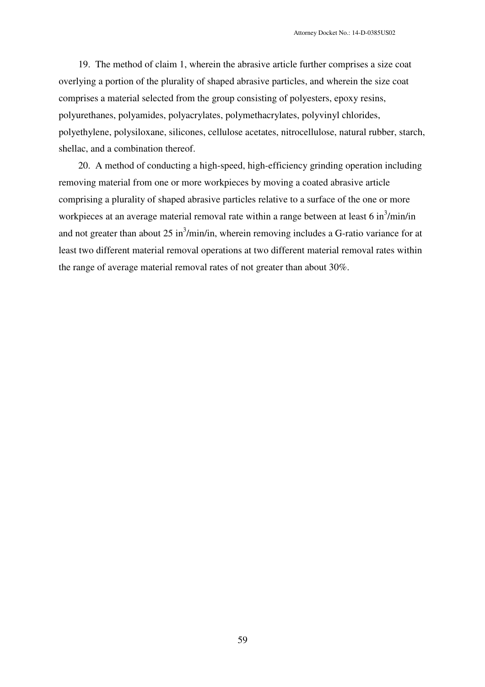19. The method of claim 1, wherein the abrasive article further comprises a size coat overlying a portion of the plurality of shaped abrasive particles, and wherein the size coat comprises a material selected from the group consisting of polyesters, epoxy resins, polyurethanes, polyamides, polyacrylates, polymethacrylates, polyvinyl chlorides, polyethylene, polysiloxane, silicones, cellulose acetates, nitrocellulose, natural rubber, starch, shellac, and a combination thereof.

20. A method of conducting a high-speed, high-efficiency grinding operation including removing material from one or more workpieces by moving a coated abrasive article comprising a plurality of shaped abrasive particles relative to a surface of the one or more workpieces at an average material removal rate within a range between at least 6 in $\frac{3}{\text{min/in}}$ and not greater than about  $25 \text{ in}^3/\text{min/in}$ , wherein removing includes a G-ratio variance for at least two different material removal operations at two different material removal rates within the range of average material removal rates of not greater than about 30%.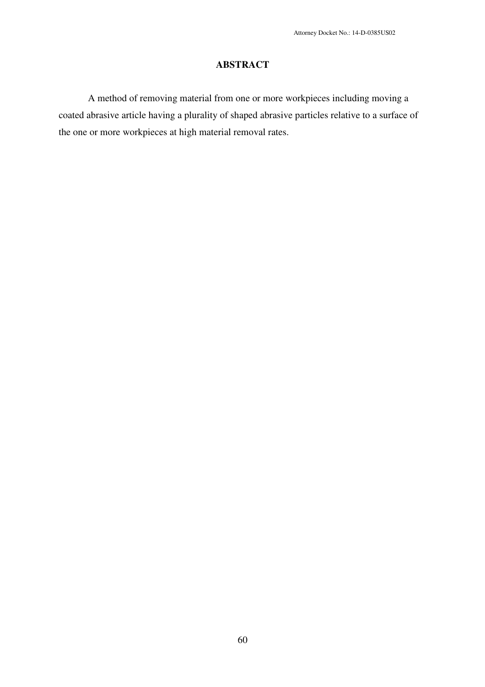## **ABSTRACT**

A method of removing material from one or more workpieces including moving a coated abrasive article having a plurality of shaped abrasive particles relative to a surface of the one or more workpieces at high material removal rates.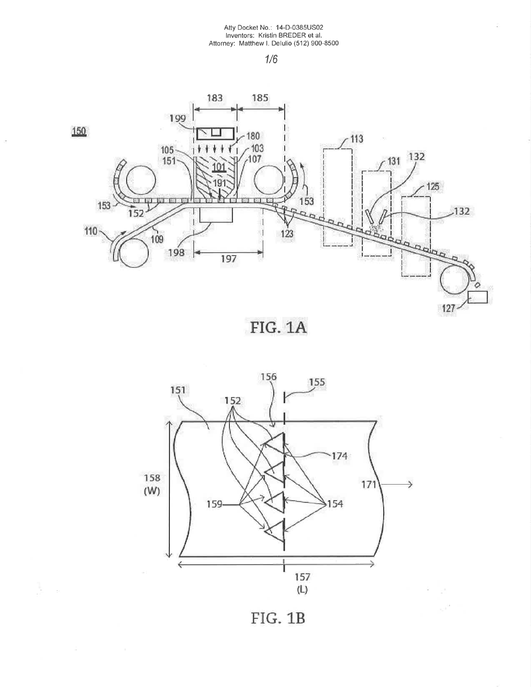$\Xi$ 

gir.



 $\frac{1}{2}$ 

ķ.







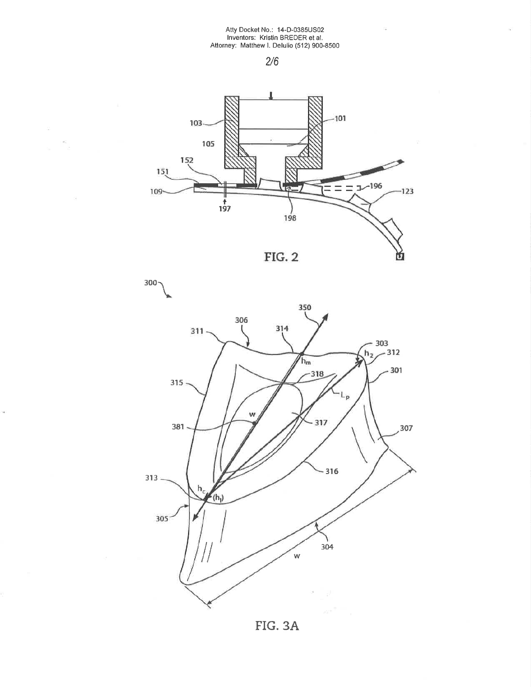$\overline{\mathcal{L}}_{\mathbf{0}}$ 

 $\omega$ 

ù.

 $\widetilde{\mathcal{C}}$ 

 $\overline{G}$ 







FIG. 3A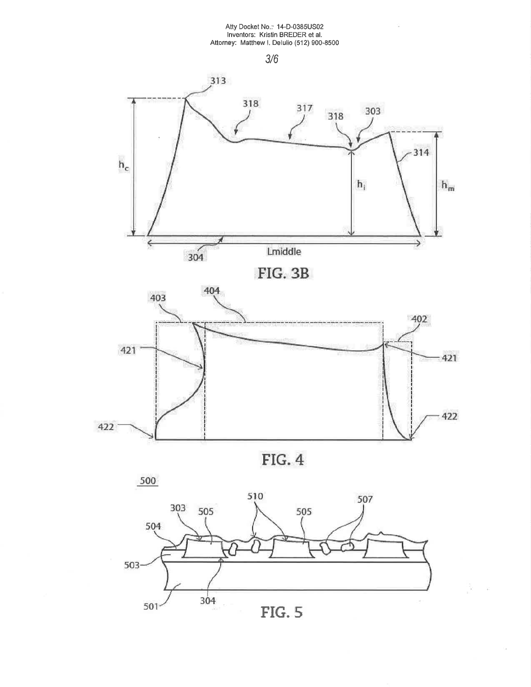# Atty Docket No.: 14-D-0385US02<br>Inventors: Kristin BREDER et al.<br>Attorney: Matthew I. Delulio (512) 900-8500

 $3/6$ 







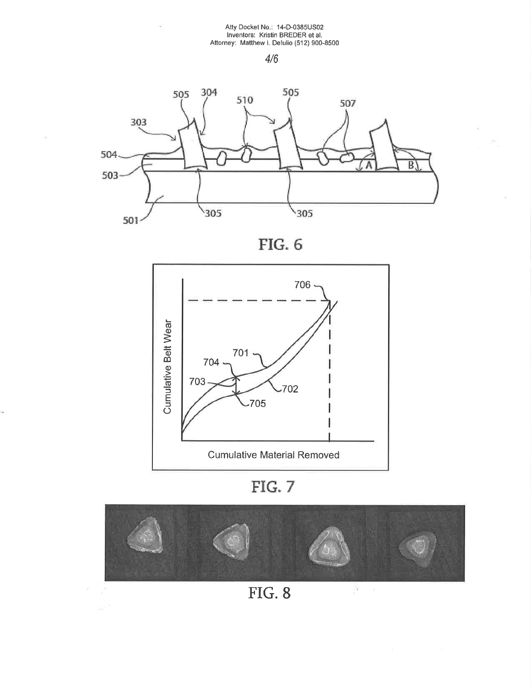ó,

ò.

i.

 $\hat{\mathbf{x}}_i^{\prime}$ 









FIG. 7



**FIG. 8**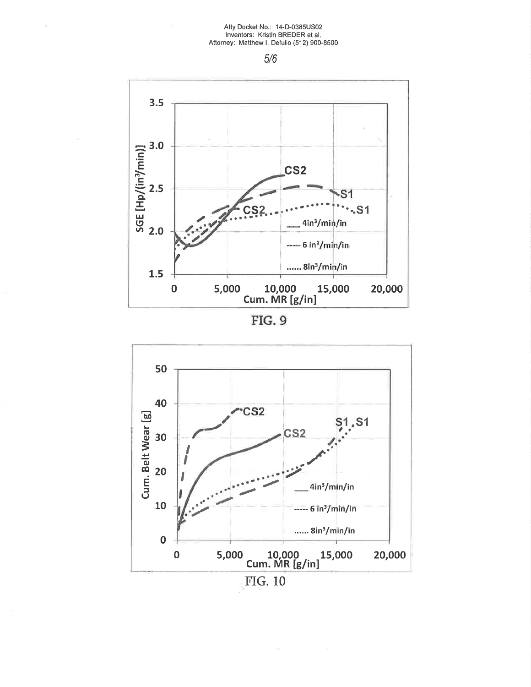## Atty Docket No.: 14-D-0385US02 Inventors: Kristin BREDER et al.<br>Attorney: Matthew I. Delulio (512) 900-8500

 $5/6$ 



FIG. 9